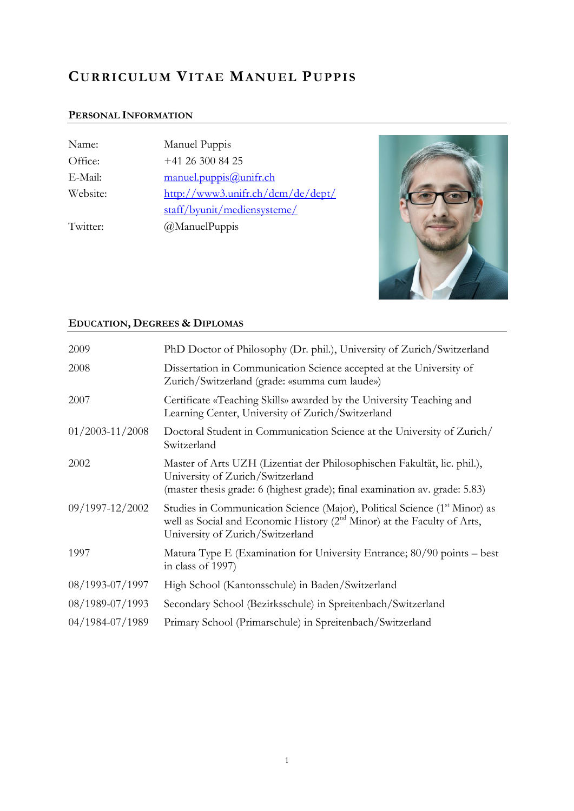# **CURRICULUM VITAE MANUEL PUPPIS**

## **PERSONAL INFORMATION**

| Name:    | Manuel Puppis                     |
|----------|-----------------------------------|
| Office:  | $+41$ 26 300 84 25                |
| E-Mail:  | manuel.puppis@unifr.ch            |
| Website: | http://www3.unifr.ch/dcm/de/dept/ |
|          | staff/byunit/mediensysteme/       |
| Twitter: | @ManuelPuppis                     |



# **EDUCATION, DEGREES & DIPLOMAS**

| 2009                | PhD Doctor of Philosophy (Dr. phil.), University of Zurich/Switzerland                                                                                                                                            |
|---------------------|-------------------------------------------------------------------------------------------------------------------------------------------------------------------------------------------------------------------|
| 2008                | Dissertation in Communication Science accepted at the University of<br>Zurich/Switzerland (grade: «summa cum laude»)                                                                                              |
| 2007                | Certificate «Teaching Skills» awarded by the University Teaching and<br>Learning Center, University of Zurich/Switzerland                                                                                         |
| $01/2003 - 11/2008$ | Doctoral Student in Communication Science at the University of Zurich/<br>Switzerland                                                                                                                             |
| 2002                | Master of Arts UZH (Lizentiat der Philosophischen Fakultät, lic. phil.),<br>University of Zurich/Switzerland<br>(master thesis grade: 6 (highest grade); final examination av. grade: 5.83)                       |
| 09/1997-12/2002     | Studies in Communication Science (Major), Political Science (1 <sup>st</sup> Minor) as<br>well as Social and Economic History (2 <sup>nd</sup> Minor) at the Faculty of Arts,<br>University of Zurich/Switzerland |
| 1997                | Matura Type E (Examination for University Entrance; 80/90 points – best<br>in class of 1997)                                                                                                                      |
| 08/1993-07/1997     | High School (Kantonsschule) in Baden/Switzerland                                                                                                                                                                  |
| 08/1989-07/1993     | Secondary School (Bezirksschule) in Spreitenbach/Switzerland                                                                                                                                                      |
| 04/1984-07/1989     | Primary School (Primarschule) in Spreitenbach/Switzerland                                                                                                                                                         |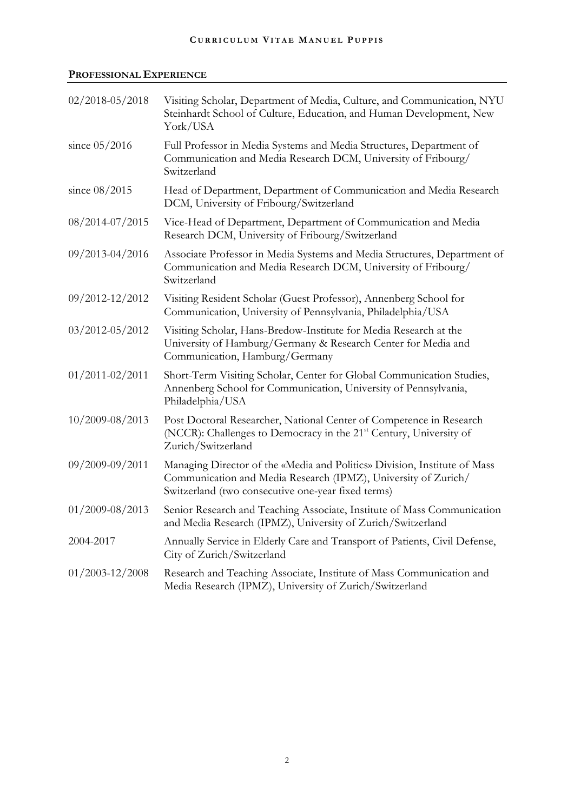## **PROFESSIONAL EXPERIENCE**

| $02/2018 - 05/2018$ | Visiting Scholar, Department of Media, Culture, and Communication, NYU<br>Steinhardt School of Culture, Education, and Human Development, New<br>York/USA                                         |
|---------------------|---------------------------------------------------------------------------------------------------------------------------------------------------------------------------------------------------|
| since $05/2016$     | Full Professor in Media Systems and Media Structures, Department of<br>Communication and Media Research DCM, University of Fribourg/<br>Switzerland                                               |
| since $08/2015$     | Head of Department, Department of Communication and Media Research<br>DCM, University of Fribourg/Switzerland                                                                                     |
| 08/2014-07/2015     | Vice-Head of Department, Department of Communication and Media<br>Research DCM, University of Fribourg/Switzerland                                                                                |
| 09/2013-04/2016     | Associate Professor in Media Systems and Media Structures, Department of<br>Communication and Media Research DCM, University of Fribourg/<br>Switzerland                                          |
| 09/2012-12/2012     | Visiting Resident Scholar (Guest Professor), Annenberg School for<br>Communication, University of Pennsylvania, Philadelphia/USA                                                                  |
| 03/2012-05/2012     | Visiting Scholar, Hans-Bredow-Institute for Media Research at the<br>University of Hamburg/Germany & Research Center for Media and<br>Communication, Hamburg/Germany                              |
| $01/2011 - 02/2011$ | Short-Term Visiting Scholar, Center for Global Communication Studies,<br>Annenberg School for Communication, University of Pennsylvania,<br>Philadelphia/USA                                      |
| 10/2009-08/2013     | Post Doctoral Researcher, National Center of Competence in Research<br>(NCCR): Challenges to Democracy in the 21 <sup>st</sup> Century, University of<br>Zurich/Switzerland                       |
| 09/2009-09/2011     | Managing Director of the «Media and Politics» Division, Institute of Mass<br>Communication and Media Research (IPMZ), University of Zurich/<br>Switzerland (two consecutive one-year fixed terms) |
| $01/2009 - 08/2013$ | Senior Research and Teaching Associate, Institute of Mass Communication<br>and Media Research (IPMZ), University of Zurich/Switzerland                                                            |
| 2004-2017           | Annually Service in Elderly Care and Transport of Patients, Civil Defense,<br>City of Zurich/Switzerland                                                                                          |
| $01/2003 - 12/2008$ | Research and Teaching Associate, Institute of Mass Communication and<br>Media Research (IPMZ), University of Zurich/Switzerland                                                                   |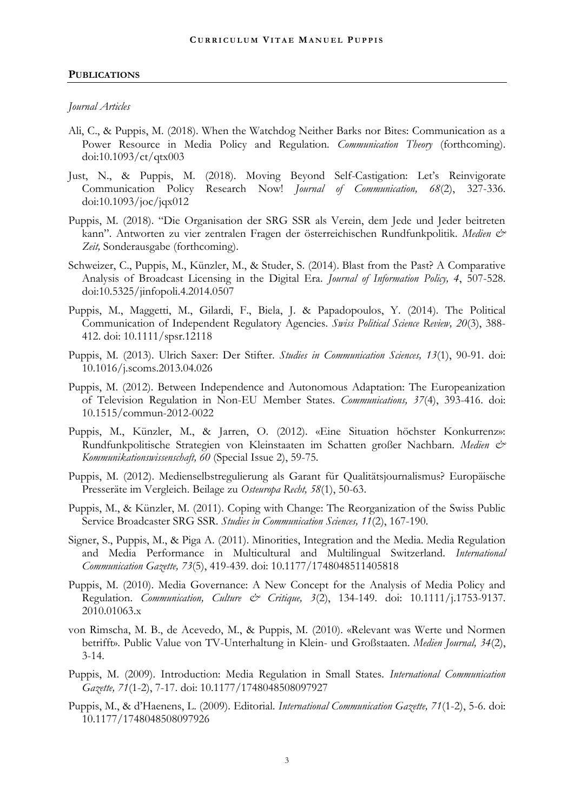#### **PUBLICATIONS**

#### *Journal Articles*

- Ali, C., & Puppis, M. (2018). When the Watchdog Neither Barks nor Bites: Communication as a Power Resource in Media Policy and Regulation. *Communication Theory* (forthcoming). doi:10.1093/ct/qtx003
- Just, N., & Puppis, M. (2018). Moving Beyond Self-Castigation: Let's Reinvigorate Communication Policy Research Now! *Journal of Communication, 68*(2), 327-336. doi:10.1093/joc/jqx012
- Puppis, M. (2018). "Die Organisation der SRG SSR als Verein, dem Jede und Jeder beitreten kann". Antworten zu vier zentralen Fragen der österreichischen Rundfunkpolitik. *Medien & Zeit,* Sonderausgabe (forthcoming).
- Schweizer, C., Puppis, M., Künzler, M., & Studer, S. (2014). Blast from the Past? A Comparative Analysis of Broadcast Licensing in the Digital Era. *Journal of Information Policy, 4*, 507-528. doi:10.5325/jinfopoli.4.2014.0507
- Puppis, M., Maggetti, M., Gilardi, F., Biela, J. & Papadopoulos, Y. (2014). The Political Communication of Independent Regulatory Agencies. *Swiss Political Science Review, 20*(3), 388- 412. doi: 10.1111/spsr.12118
- Puppis, M. (2013). Ulrich Saxer: Der Stifter. *Studies in Communication Sciences, 13*(1), 90-91. doi: 10.1016/j.scoms.2013.04.026
- Puppis, M. (2012). Between Independence and Autonomous Adaptation: The Europeanization of Television Regulation in Non-EU Member States. *Communications, 37*(4), 393-416. doi: 10.1515/commun-2012-0022
- Puppis, M., Künzler, M., & Jarren, O. (2012). «Eine Situation höchster Konkurrenz»: Rundfunkpolitische Strategien von Kleinstaaten im Schatten großer Nachbarn. *Medien & Kommunikationswissenschaft, 60* (Special Issue 2), 59-75.
- Puppis, M. (2012). Medienselbstregulierung als Garant für Qualitätsjournalismus? Europäische Presseräte im Vergleich. Beilage zu *Osteuropa Recht, 58*(1), 50-63.
- Puppis, M., & Künzler, M. (2011). Coping with Change: The Reorganization of the Swiss Public Service Broadcaster SRG SSR. *Studies in Communication Sciences, 11*(2), 167-190.
- Signer, S., Puppis, M., & Piga A. (2011). Minorities, Integration and the Media. Media Regulation and Media Performance in Multicultural and Multilingual Switzerland. *International Communication Gazette, 73*(5), 419-439. doi: 10.1177/1748048511405818
- Puppis, M. (2010). Media Governance: A New Concept for the Analysis of Media Policy and Regulation. *Communication, Culture & Critique, 3*(2), 134-149. doi: 10.1111/j.1753-9137. 2010.01063.x
- von Rimscha, M. B., de Acevedo, M., & Puppis, M. (2010). «Relevant was Werte und Normen betrifft». Public Value von TV-Unterhaltung in Klein- und Großstaaten. *Medien Journal, 34*(2), 3-14.
- Puppis, M. (2009). Introduction: Media Regulation in Small States. *International Communication Gazette, 71*(1-2), 7-17. doi: 10.1177/1748048508097927
- Puppis, M., & d'Haenens, L. (2009). Editorial. *International Communication Gazette, 71*(1-2), 5-6. doi: 10.1177/1748048508097926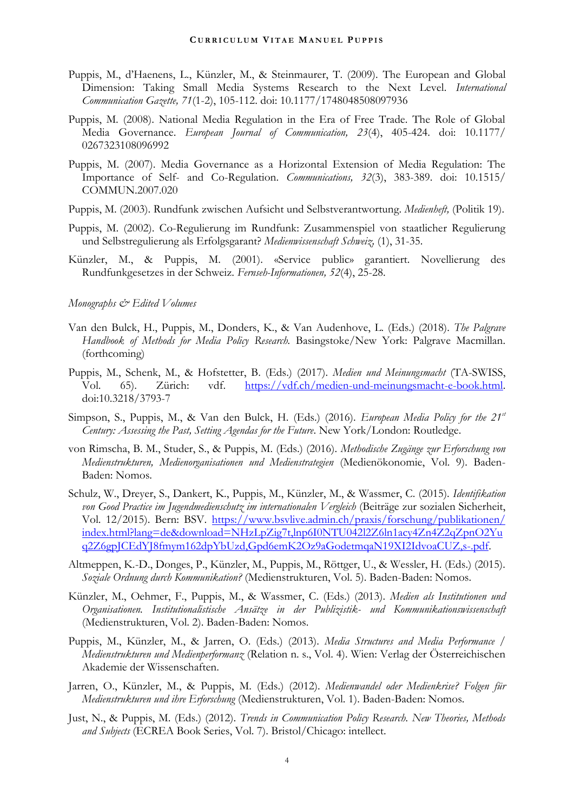- Puppis, M., d'Haenens, L., Künzler, M., & Steinmaurer, T. (2009). The European and Global Dimension: Taking Small Media Systems Research to the Next Level. *International Communication Gazette, 71*(1-2), 105-112. doi: 10.1177/1748048508097936
- Puppis, M. (2008). National Media Regulation in the Era of Free Trade. The Role of Global Media Governance. *European Journal of Communication, 23*(4), 405-424. doi: 10.1177/ 0267323108096992
- Puppis, M. (2007). Media Governance as a Horizontal Extension of Media Regulation: The Importance of Self- and Co-Regulation. *Communications, 32*(3), 383-389. doi: 10.1515/ COMMUN.2007.020
- Puppis, M. (2003). Rundfunk zwischen Aufsicht und Selbstverantwortung. *Medienheft,* (Politik 19).
- Puppis, M. (2002). Co-Regulierung im Rundfunk: Zusammenspiel von staatlicher Regulierung und Selbstregulierung als Erfolgsgarant? *Medienwissenschaft Schweiz,* (1), 31-35.
- Künzler, M., & Puppis, M. (2001). «Service public» garantiert. Novellierung des Rundfunkgesetzes in der Schweiz. *Fernseh-Informationen, 52*(4), 25-28.

#### *Monographs & Edited Volumes*

- Van den Bulck, H., Puppis, M., Donders, K., & Van Audenhove, L. (Eds.) (2018). *The Palgrave Handbook of Methods for Media Policy Research.* Basingstoke/New York: Palgrave Macmillan. (forthcoming)
- Puppis, M., Schenk, M., & Hofstetter, B. (Eds.) (2017). *Medien und Meinungsmacht* (TA-SWISS, Vol. 65). Zürich: vdf. [https://vdf.ch/medien-und-meinungsmacht-e-book.html.](https://vdf.ch/medien-und-meinungsmacht-e-book.html) doi:10.3218/3793-7
- Simpson, S., Puppis, M., & Van den Bulck, H. (Eds.) (2016). *European Media Policy for the 21st Century: Assessing the Past, Setting Agendas for the Future*. New York/London: Routledge.
- von Rimscha, B. M., Studer, S., & Puppis, M. (Eds.) (2016). *Methodische Zugänge zur Erforschung von Medienstrukturen, Medienorganisationen und Medienstrategien* (Medienökonomie, Vol. 9). Baden-Baden: Nomos.
- Schulz, W., Dreyer, S., Dankert, K., Puppis, M., Künzler, M., & Wassmer, C. (2015). *Identifikation von Good Practice im Jugendmedienschutz im internationalen Vergleich* (Beiträge zur sozialen Sicherheit, Vol. 12/2015). Bern: BSV. [https://www.bsvlive.admin.ch/praxis/forschung/publikationen/](https://www.bsvlive.admin.ch/praxis/forschung/publikationen/index.html?lang=de&download=NHzLpZig7t,lnp6I0NTU042l2Z6ln1acy4Zn4Z2qZpnO2Yuq2Z6gpJCEdYJ8fmym162dpYbUzd,Gpd6emK2Oz9aGodetmqaN19XI2IdvoaCUZ,s-.pdf) [index.html?lang=de&download=NHzLpZig7t,lnp6I0NTU042l2Z6ln1acy4Zn4Z2qZpnO2Yu](https://www.bsvlive.admin.ch/praxis/forschung/publikationen/index.html?lang=de&download=NHzLpZig7t,lnp6I0NTU042l2Z6ln1acy4Zn4Z2qZpnO2Yuq2Z6gpJCEdYJ8fmym162dpYbUzd,Gpd6emK2Oz9aGodetmqaN19XI2IdvoaCUZ,s-.pdf) [q2Z6gpJCEdYJ8fmym162dpYbUzd,Gpd6emK2Oz9aGodetmqaN19XI2IdvoaCUZ,s-.pdf.](https://www.bsvlive.admin.ch/praxis/forschung/publikationen/index.html?lang=de&download=NHzLpZig7t,lnp6I0NTU042l2Z6ln1acy4Zn4Z2qZpnO2Yuq2Z6gpJCEdYJ8fmym162dpYbUzd,Gpd6emK2Oz9aGodetmqaN19XI2IdvoaCUZ,s-.pdf)
- Altmeppen, K.-D., Donges, P., Künzler, M., Puppis, M., Röttger, U., & Wessler, H. (Eds.) (2015). *Soziale Ordnung durch Kommunikation?* (Medienstrukturen, Vol. 5). Baden-Baden: Nomos.
- Künzler, M., Oehmer, F., Puppis, M., & Wassmer, C. (Eds.) (2013). *Medien als Institutionen und Organisationen. Institutionalistische Ansätze in der Publizistik- und Kommunikationswissenschaft*  (Medienstrukturen, Vol. 2). Baden-Baden: Nomos.
- Puppis, M., Künzler, M., & Jarren, O. (Eds.) (2013). *Media Structures and Media Performance / Medienstrukturen und Medienperformanz* (Relation n. s., Vol. 4). Wien: Verlag der Österreichischen Akademie der Wissenschaften.
- Jarren, O., Künzler, M., & Puppis, M. (Eds.) (2012). *Medienwandel oder Medienkrise? Folgen für Medienstrukturen und ihre Erforschung* (Medienstrukturen, Vol. 1). Baden-Baden: Nomos.
- Just, N., & Puppis, M. (Eds.) (2012). *Trends in Communication Policy Research. New Theories, Methods and Subjects* (ECREA Book Series, Vol. 7). Bristol/Chicago: intellect.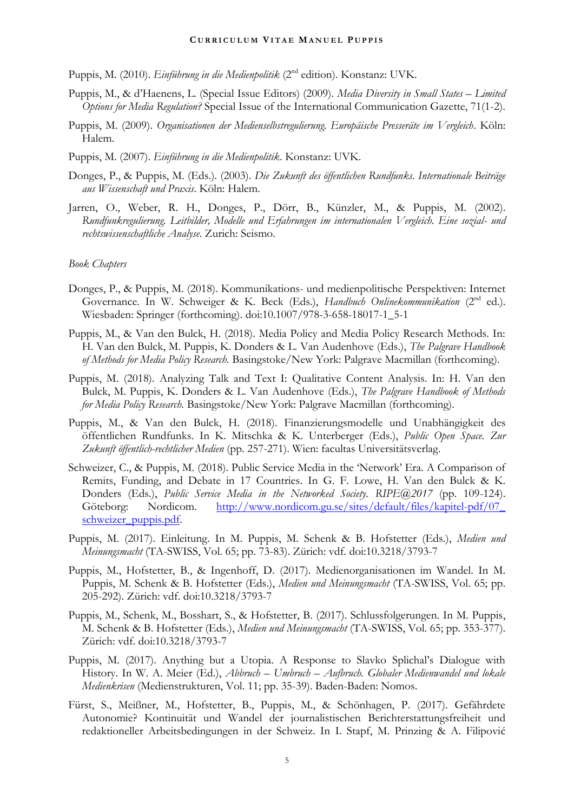Puppis, M. (2010). *Einführung in die Medienpolitik* (2nd edition). Konstanz: UVK.

- Puppis, M., & d'Haenens, L. (Special Issue Editors) (2009). *Media Diversity in Small States – Limited Options for Media Regulation?* Special Issue of the International Communication Gazette, 71(1-2).
- Puppis, M. (2009). *Organisationen der Medienselbstregulierung. Europäische Presseräte im Vergleich*. Köln: Halem.
- Puppis, M. (2007). *Einführung in die Medienpolitik*. Konstanz: UVK.
- Donges, P., & Puppis, M. (Eds.). (2003). *Die Zukunft des öffentlichen Rundfunks. Internationale Beiträge aus Wissenschaft und Praxis*. Köln: Halem.
- Jarren, O., Weber, R. H., Donges, P., Dörr, B., Künzler, M., & Puppis, M. (2002). *Rundfunkregulierung. Leitbilder, Modelle und Erfahrungen im internationalen Vergleich. Eine sozial- und rechtswissenschaftliche Analyse*. Zurich: Seismo.

#### *Book Chapters*

- Donges, P., & Puppis, M. (2018). Kommunikations- und medienpolitische Perspektiven: Internet Governance. In W. Schweiger & K. Beck (Eds.), *Handbuch Onlinekommunikation* (2<sup>nd</sup> ed.). Wiesbaden: Springer (forthcoming). doi:10.1007/978-3-658-18017-1\_5-1
- Puppis, M., & Van den Bulck, H. (2018). Media Policy and Media Policy Research Methods. In: H. Van den Bulck, M. Puppis, K. Donders & L. Van Audenhove (Eds.), *The Palgrave Handbook of Methods for Media Policy Research.* Basingstoke/New York: Palgrave Macmillan (forthcoming).
- Puppis, M. (2018). Analyzing Talk and Text I: Qualitative Content Analysis. In: H. Van den Bulck, M. Puppis, K. Donders & L. Van Audenhove (Eds.), *The Palgrave Handbook of Methods for Media Policy Research.* Basingstoke/New York: Palgrave Macmillan (forthcoming).
- Puppis, M., & Van den Bulck, H. (2018). Finanzierungsmodelle und Unabhängigkeit des öffentlichen Rundfunks. In K. Mitschka & K. Unterberger (Eds.), *Public Open Space. Zur Zukunft öffentlich-rechtlicher Medien* (pp. 257-271). Wien: facultas Universitätsverlag.
- Schweizer, C., & Puppis, M. (2018). Public Service Media in the 'Network' Era. A Comparison of Remits, Funding, and Debate in 17 Countries. In G. F. Lowe, H. Van den Bulck & K. Donders (Eds.), *Public Service Media in the Networked Society. RIPE@2017* (pp. 109-124). Göteborg: Nordicom. http://www.nordicom.gu.se/sites/default/files/kapitel-pdf/07 [schweizer\\_puppis.pdf.](http://www.nordicom.gu.se/sites/default/files/kapitel-pdf/07_%0bschweizer_puppis.pdf)
- Puppis, M. (2017). Einleitung. In M. Puppis, M. Schenk & B. Hofstetter (Eds.), *Medien und Meinungsmacht* (TA-SWISS, Vol. 65; pp. 73-83). Zürich: vdf. doi:10.3218/3793-7
- Puppis, M., Hofstetter, B., & Ingenhoff, D. (2017). Medienorganisationen im Wandel. In M. Puppis, M. Schenk & B. Hofstetter (Eds.), *Medien und Meinungsmacht* (TA-SWISS, Vol. 65; pp. 205-292). Zürich: vdf. doi:10.3218/3793-7
- Puppis, M., Schenk, M., Bosshart, S., & Hofstetter, B. (2017). Schlussfolgerungen. In M. Puppis, M. Schenk & B. Hofstetter (Eds.), *Medien und Meinungsmacht* (TA-SWISS, Vol. 65; pp. 353-377). Zürich: vdf. doi:10.3218/3793-7
- Puppis, M. (2017). Anything but a Utopia. A Response to Slavko Splichal's Dialogue with History. In W. A. Meier (Ed.), *Abbruch – Umbruch – Aufbruch. Globaler Medienwandel und lokale Medienkrisen* (Medienstrukturen, Vol. 11; pp. 35-39). Baden-Baden: Nomos.
- Fürst, S., Meißner, M., Hofstetter, B., Puppis, M., & Schönhagen, P. (2017). Gefährdete Autonomie? Kontinuität und Wandel der journalistischen Berichterstattungsfreiheit und redaktioneller Arbeitsbedingungen in der Schweiz. In I. Stapf, M. Prinzing & A. Filipović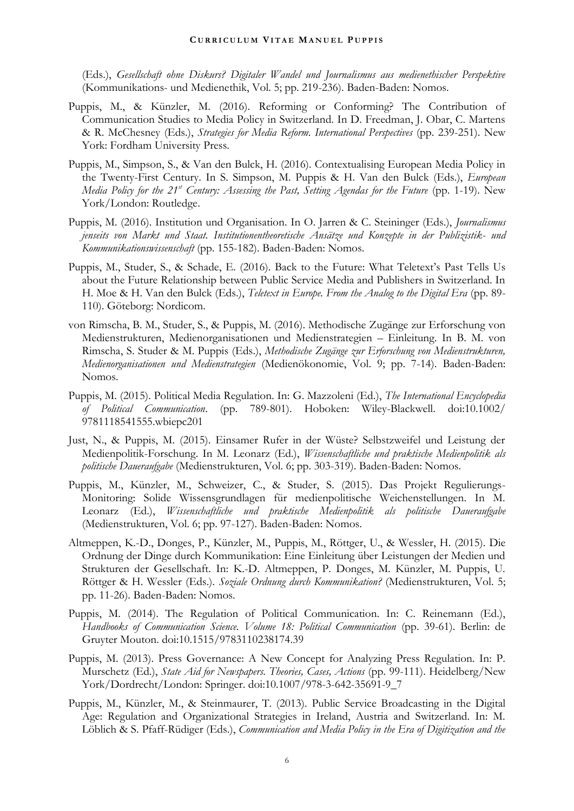(Eds.), *Gesellschaft ohne Diskurs? Digitaler Wandel und Journalismus aus medienethischer Perspektive* (Kommunikations- und Medienethik, Vol. 5; pp. 219-236). Baden-Baden: Nomos.

- Puppis, M., & Künzler, M. (2016). Reforming or Conforming? The Contribution of Communication Studies to Media Policy in Switzerland. In D. Freedman, J. Obar, C. Martens & R. McChesney (Eds.), *Strategies for Media Reform. International Perspectives* (pp. 239-251). New York: Fordham University Press.
- Puppis, M., Simpson, S., & Van den Bulck, H. (2016). Contextualising European Media Policy in the Twenty-First Century. In S. Simpson, M. Puppis & H. Van den Bulck (Eds.), *European Media Policy for the 21st Century: Assessing the Past, Setting Agendas for the Future* (pp. 1-19). New York/London: Routledge.
- Puppis, M. (2016). Institution und Organisation. In O. Jarren & C. Steininger (Eds.), *Journalismus jenseits von Markt und Staat. Institutionentheoretische Ansätze und Konzepte in der Publizistik- und Kommunikationswissenschaft* (pp. 155-182). Baden-Baden: Nomos.
- Puppis, M., Studer, S., & Schade, E. (2016). Back to the Future: What Teletext's Past Tells Us about the Future Relationship between Public Service Media and Publishers in Switzerland. In H. Moe & H. Van den Bulck (Eds.), *Teletext in Europe. From the Analog to the Digital Era* (pp. 89- 110). Göteborg: Nordicom.
- von Rimscha, B. M., Studer, S., & Puppis, M. (2016). Methodische Zugänge zur Erforschung von Medienstrukturen, Medienorganisationen und Medienstrategien – Einleitung. In B. M. von Rimscha, S. Studer & M. Puppis (Eds.), *Methodische Zugänge zur Erforschung von Medienstrukturen, Medienorganisationen und Medienstrategien* (Medienökonomie, Vol. 9; pp. 7-14). Baden-Baden: Nomos.
- Puppis, M. (2015). Political Media Regulation. In: G. Mazzoleni (Ed.), *The International Encyclopedia of Political Communication*. (pp. 789-801). Hoboken: Wiley-Blackwell. doi:10.1002/ 9781118541555.wbiepc201
- Just, N., & Puppis, M. (2015). Einsamer Rufer in der Wüste? Selbstzweifel und Leistung der Medienpolitik-Forschung. In M. Leonarz (Ed.), *Wissenschaftliche und praktische Medienpolitik als politische Daueraufgabe* (Medienstrukturen, Vol. 6; pp. 303-319). Baden-Baden: Nomos.
- Puppis, M., Künzler, M., Schweizer, C., & Studer, S. (2015). Das Projekt Regulierungs-Monitoring: Solide Wissensgrundlagen für medienpolitische Weichenstellungen. In M. Leonarz (Ed.), *Wissenschaftliche und praktische Medienpolitik als politische Daueraufgabe*  (Medienstrukturen, Vol. 6; pp. 97-127). Baden-Baden: Nomos.
- Altmeppen, K.-D., Donges, P., Künzler, M., Puppis, M., Röttger, U., & Wessler, H. (2015). Die Ordnung der Dinge durch Kommunikation: Eine Einleitung über Leistungen der Medien und Strukturen der Gesellschaft. In: K.-D. Altmeppen, P. Donges, M. Künzler, M. Puppis, U. Röttger & H. Wessler (Eds.). *Soziale Ordnung durch Kommunikation?* (Medienstrukturen, Vol. 5; pp. 11-26). Baden-Baden: Nomos.
- Puppis, M. (2014). The Regulation of Political Communication. In: C. Reinemann (Ed.), *Handbooks of Communication Science. Volume 18: Political Communication* (pp. 39-61). Berlin: de Gruyter Mouton. doi:10.1515/9783110238174.39
- Puppis, M. (2013). Press Governance: A New Concept for Analyzing Press Regulation. In: P. Murschetz (Ed.), *State Aid for Newspapers. Theories, Cases, Actions* (pp. 99-111). Heidelberg/New York/Dordrecht/London: Springer. doi:10.1007/978-3-642-35691-9\_7
- Puppis, M., Künzler, M., & Steinmaurer, T. (2013). Public Service Broadcasting in the Digital Age: Regulation and Organizational Strategies in Ireland, Austria and Switzerland. In: M. Löblich & S. Pfaff-Rüdiger (Eds.), *Communication and Media Policy in the Era of Digitization and the*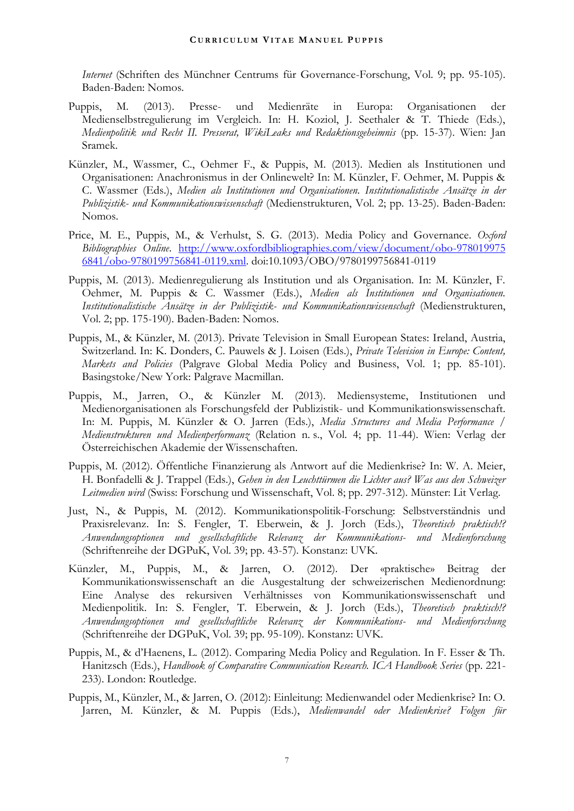*Internet* (Schriften des Münchner Centrums für Governance-Forschung, Vol. 9; pp. 95-105). Baden-Baden: Nomos.

- Puppis, M. (2013). Presse- und Medienräte in Europa: Organisationen der Medienselbstregulierung im Vergleich. In: H. Koziol, J. Seethaler & T. Thiede (Eds.), *Medienpolitik und Recht II. Presserat, WikiLeaks und Redaktionsgeheimnis* (pp. 15-37). Wien: Jan Sramek.
- Künzler, M., Wassmer, C., Oehmer F., & Puppis, M. (2013). Medien als Institutionen und Organisationen: Anachronismus in der Onlinewelt? In: M. Künzler, F. Oehmer, M. Puppis & C. Wassmer (Eds.), *Medien als Institutionen und Organisationen. Institutionalistische Ansätze in der Publizistik- und Kommunikationswissenschaft* (Medienstrukturen, Vol. 2; pp. 13-25). Baden-Baden: Nomos.
- Price, M. E., Puppis, M., & Verhulst, S. G. (2013). Media Policy and Governance. *Oxford Bibliographies Online*. [http://www.oxfordbibliographies.com/view/document/obo-978019975](http://www.oxfordbibliographies.com/view/document/obo-9780199756841/obo-9780199756841-0119.xml) [6841/obo-9780199756841-0119.xml.](http://www.oxfordbibliographies.com/view/document/obo-9780199756841/obo-9780199756841-0119.xml) doi:10.1093/OBO/9780199756841-0119
- Puppis, M. (2013). Medienregulierung als Institution und als Organisation. In: M. Künzler, F. Oehmer, M. Puppis & C. Wassmer (Eds.), *Medien als Institutionen und Organisationen. Institutionalistische Ansätze in der Publizistik- und Kommunikationswissenschaft* (Medienstrukturen, Vol. 2; pp. 175-190). Baden-Baden: Nomos.
- Puppis, M., & Künzler, M. (2013). Private Television in Small European States: Ireland, Austria, Switzerland. In: K. Donders, C. Pauwels & J. Loisen (Eds.), *Private Television in Europe: Content, Markets and Policies* (Palgrave Global Media Policy and Business, Vol. 1; pp. 85-101). Basingstoke/New York: Palgrave Macmillan.
- Puppis, M., Jarren, O., & Künzler M. (2013). Mediensysteme, Institutionen und Medienorganisationen als Forschungsfeld der Publizistik- und Kommunikationswissenschaft. In: M. Puppis, M. Künzler & O. Jarren (Eds.), *Media Structures and Media Performance / Medienstrukturen und Medienperformanz* (Relation n. s., Vol. 4; pp. 11-44). Wien: Verlag der Österreichischen Akademie der Wissenschaften.
- Puppis, M. (2012). Öffentliche Finanzierung als Antwort auf die Medienkrise? In: W. A. Meier, H. Bonfadelli & J. Trappel (Eds.), *Gehen in den Leuchttürmen die Lichter aus? Was aus den Schweizer Leitmedien wird* (Swiss: Forschung und Wissenschaft, Vol. 8; pp. 297-312). Münster: Lit Verlag.
- Just, N., & Puppis, M. (2012). Kommunikationspolitik-Forschung: Selbstverständnis und Praxisrelevanz. In: S. Fengler, T. Eberwein, & J. Jorch (Eds.), *Theoretisch praktisch!? Anwendungsoptionen und gesellschaftliche Relevanz der Kommunikations- und Medienforschung*  (Schriftenreihe der DGPuK, Vol. 39; pp. 43-57)*.* Konstanz: UVK.
- Künzler, M., Puppis, M., & Jarren, O. (2012). Der «praktische» Beitrag der Kommunikationswissenschaft an die Ausgestaltung der schweizerischen Medienordnung: Eine Analyse des rekursiven Verhältnisses von Kommunikationswissenschaft und Medienpolitik. In: S. Fengler, T. Eberwein, & J. Jorch (Eds.), *Theoretisch praktisch!? Anwendungsoptionen und gesellschaftliche Relevanz der Kommunikations- und Medienforschung*  (Schriftenreihe der DGPuK, Vol. 39; pp. 95-109)*.* Konstanz: UVK.
- Puppis, M., & d'Haenens, L. (2012). Comparing Media Policy and Regulation. In F. Esser & Th. Hanitzsch (Eds.), *Handbook of Comparative Communication Research. ICA Handbook Series* (pp. 221- 233). London: Routledge.
- Puppis, M., Künzler, M., & Jarren, O. (2012): Einleitung: Medienwandel oder Medienkrise? In: O. Jarren, M. Künzler, & M. Puppis (Eds.), *Medienwandel oder Medienkrise? Folgen für*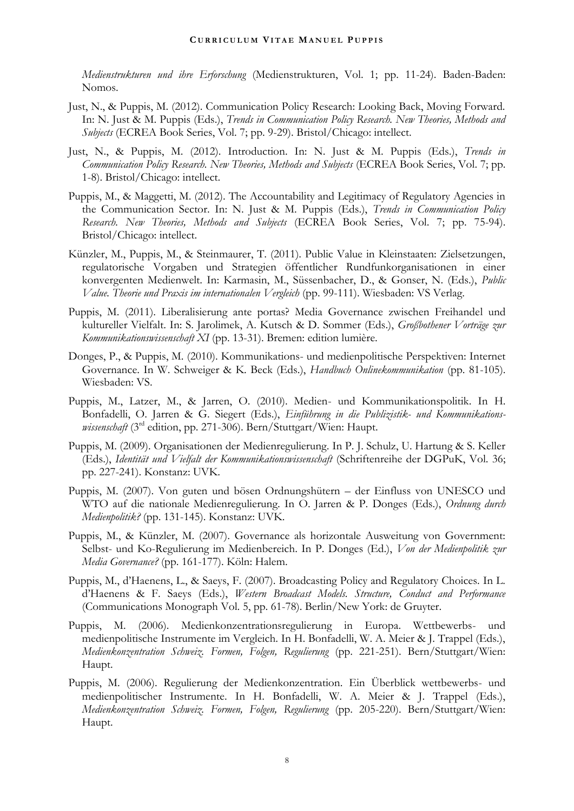*Medienstrukturen und ihre Erforschung* (Medienstrukturen, Vol. 1; pp. 11-24). Baden-Baden: Nomos.

- Just, N., & Puppis, M. (2012). Communication Policy Research: Looking Back, Moving Forward. In: N. Just & M. Puppis (Eds.), *Trends in Communication Policy Research. New Theories, Methods and Subjects* (ECREA Book Series, Vol. 7; pp. 9-29). Bristol/Chicago: intellect.
- Just, N., & Puppis, M. (2012). Introduction. In: N. Just & M. Puppis (Eds.), *Trends in Communication Policy Research. New Theories, Methods and Subjects* (ECREA Book Series, Vol. 7; pp. 1-8). Bristol/Chicago: intellect.
- Puppis, M., & Maggetti, M. (2012). The Accountability and Legitimacy of Regulatory Agencies in the Communication Sector. In: N. Just & M. Puppis (Eds.), *Trends in Communication Policy Research. New Theories, Methods and Subjects* (ECREA Book Series, Vol. 7; pp. 75-94). Bristol/Chicago: intellect.
- Künzler, M., Puppis, M., & Steinmaurer, T. (2011). Public Value in Kleinstaaten: Zielsetzungen, regulatorische Vorgaben und Strategien öffentlicher Rundfunkorganisationen in einer konvergenten Medienwelt. In: Karmasin, M., Süssenbacher, D., & Gonser, N. (Eds.), *Public Value. Theorie und Praxis im internationalen Vergleich* (pp. 99-111). Wiesbaden: VS Verlag.
- Puppis, M. (2011). Liberalisierung ante portas? Media Governance zwischen Freihandel und kultureller Vielfalt. In: S. Jarolimek, A. Kutsch & D. Sommer (Eds.), *Großbothener Vorträge zur Kommunikationswissenschaft XI* (pp. 13-31). Bremen: edition lumière.
- Donges, P., & Puppis, M. (2010). Kommunikations- und medienpolitische Perspektiven: Internet Governance. In W. Schweiger & K. Beck (Eds.), *Handbuch Onlinekommunikation* (pp. 81-105). Wiesbaden: VS.
- Puppis, M., Latzer, M., & Jarren, O. (2010). Medien- und Kommunikationspolitik. In H. Bonfadelli, O. Jarren & G. Siegert (Eds.), *Einführung in die Publizistik- und Kommunikationswissenschaft* (3rd edition, pp. 271-306). Bern/Stuttgart/Wien: Haupt.
- Puppis, M. (2009). Organisationen der Medienregulierung. In P. J. Schulz, U. Hartung & S. Keller (Eds.), *Identität und Vielfalt der Kommunikationswissenschaft* (Schriftenreihe der DGPuK, Vol. 36; pp. 227-241). Konstanz: UVK.
- Puppis, M. (2007). Von guten und bösen Ordnungshütern der Einfluss von UNESCO und WTO auf die nationale Medienregulierung. In O. Jarren & P. Donges (Eds.), *Ordnung durch Medienpolitik?* (pp. 131-145). Konstanz: UVK.
- Puppis, M., & Künzler, M. (2007). Governance als horizontale Ausweitung von Government: Selbst- und Ko-Regulierung im Medienbereich. In P. Donges (Ed.), *Von der Medienpolitik zur Media Governance?* (pp. 161-177). Köln: Halem.
- Puppis, M., d'Haenens, L., & Saeys, F. (2007). Broadcasting Policy and Regulatory Choices. In L. d'Haenens & F. Saeys (Eds.), *Western Broadcast Models. Structure, Conduct and Performance* (Communications Monograph Vol. 5, pp. 61-78). Berlin/New York: de Gruyter.
- Puppis, M. (2006). Medienkonzentrationsregulierung in Europa. Wettbewerbs- und medienpolitische Instrumente im Vergleich. In H. Bonfadelli, W. A. Meier & J. Trappel (Eds.), *Medienkonzentration Schweiz. Formen, Folgen, Regulierung* (pp. 221-251). Bern/Stuttgart/Wien: Haupt.
- Puppis, M. (2006). Regulierung der Medienkonzentration. Ein Überblick wettbewerbs- und medienpolitischer Instrumente. In H. Bonfadelli, W. A. Meier & J. Trappel (Eds.), *Medienkonzentration Schweiz. Formen, Folgen, Regulierung* (pp. 205-220). Bern/Stuttgart/Wien: Haupt.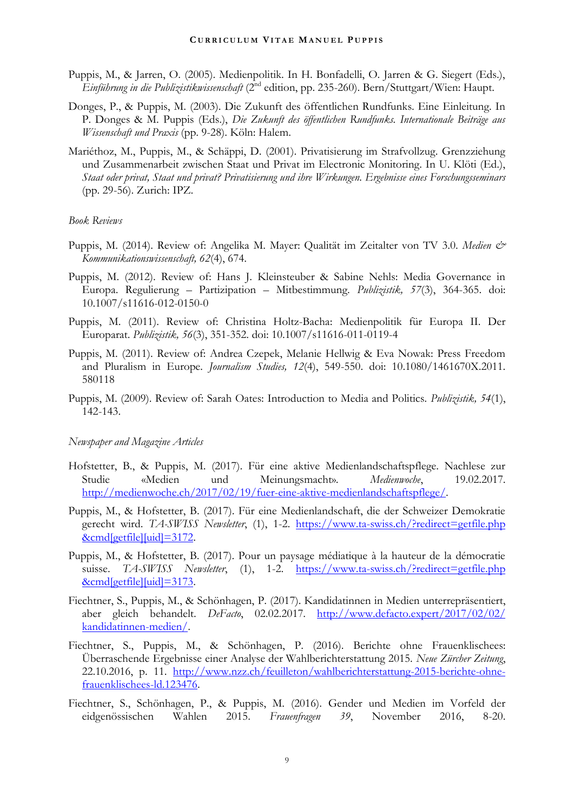- Puppis, M., & Jarren, O. (2005). Medienpolitik. In H. Bonfadelli, O. Jarren & G. Siegert (Eds.), *Einführung in die Publizistikwissenschaft* (2nd edition, pp. 235-260). Bern/Stuttgart/Wien: Haupt.
- Donges, P., & Puppis, M. (2003). Die Zukunft des öffentlichen Rundfunks. Eine Einleitung. In P. Donges & M. Puppis (Eds.), *Die Zukunft des öffentlichen Rundfunks. Internationale Beiträge aus Wissenschaft und Praxis* (pp. 9-28). Köln: Halem.
- Mariéthoz, M., Puppis, M., & Schäppi, D. (2001). Privatisierung im Strafvollzug. Grenzziehung und Zusammenarbeit zwischen Staat und Privat im Electronic Monitoring. In U. Klöti (Ed.), *Staat oder privat, Staat und privat? Privatisierung und ihre Wirkungen. Ergebnisse eines Forschungsseminars* (pp. 29-56). Zurich: IPZ.

#### *Book Reviews*

- Puppis, M. (2014). Review of: Angelika M. Mayer: Qualität im Zeitalter von TV 3.0. *Medien & Kommunikationswissenschaft, 62*(4), 674.
- Puppis, M. (2012). Review of: Hans J. Kleinsteuber & Sabine Nehls: Media Governance in Europa. Regulierung – Partizipation – Mitbestimmung. *Publizistik, 57*(3), 364-365. doi: 10.1007/s11616-012-0150-0
- Puppis, M. (2011). Review of: Christina Holtz-Bacha: Medienpolitik für Europa II. Der Europarat. *Publizistik, 56*(3), 351-352. doi: 10.1007/s11616-011-0119-4
- Puppis, M. (2011). Review of: Andrea Czepek, Melanie Hellwig & Eva Nowak: Press Freedom and Pluralism in Europe*. Journalism Studies, 12*(4), 549-550. doi: 10.1080/1461670X.2011. 580118
- Puppis, M. (2009). Review of: Sarah Oates: Introduction to Media and Politics*. Publizistik, 54*(1), 142-143.

#### *Newspaper and Magazine Articles*

- Hofstetter, B., & Puppis, M. (2017). Für eine aktive Medienlandschaftspflege. Nachlese zur Studie «Medien und Meinungsmacht». *Medienwoche*, 19.02.2017. [http://medienwoche.ch/2017/02/19/fuer-eine-aktive-medienlandschaftspflege/.](http://medienwoche.ch/2017/02/19/fuer-eine-aktive-medienlandschaftspflege/)
- Puppis, M., & Hofstetter, B. (2017). Für eine Medienlandschaft, die der Schweizer Demokratie gerecht wird. *TA-SWISS Newsletter*, (1), 1-2. [https://www.ta-swiss.ch/?redirect=getfile.php](https://www.ta-swiss.ch/?redirect=getfile.php&cmd%5bgetfile%5d%5buid%5d=3172) [&cmd\[getfile\]\[uid\]=3172.](https://www.ta-swiss.ch/?redirect=getfile.php&cmd%5bgetfile%5d%5buid%5d=3172)
- Puppis, M., & Hofstetter, B. (2017). Pour un paysage médiatique à la hauteur de la démocratie suisse. *TA-SWISS* Newsletter, (1), 1-2. [https://www.ta-swiss.ch/?redirect=getfile.php](https://www.ta-swiss.ch/?redirect=getfile.php&cmd%5bgetfile%5d%5buid%5d=3173) [&cmd\[getfile\]\[uid\]=3173.](https://www.ta-swiss.ch/?redirect=getfile.php&cmd%5bgetfile%5d%5buid%5d=3173)
- Fiechtner, S., Puppis, M., & Schönhagen, P. (2017). Kandidatinnen in Medien unterrepräsentiert, aber gleich behandelt. *DeFacto*, 02.02.2017. [http://www.defacto.expert/2017/02/02/](http://www.defacto.expert/2017/02/02/kandidatinnen-medien/) [kandidatinnen-medien/.](http://www.defacto.expert/2017/02/02/kandidatinnen-medien/)
- Fiechtner, S., Puppis, M., & Schönhagen, P. (2016). Berichte ohne Frauenklischees: Überraschende Ergebnisse einer Analyse der Wahlberichterstattung 2015. *Neue Zürcher Zeitung*, 22.10.2016, p. 11. [http://www.nzz.ch/feuilleton/wahlberichterstattung-2015-berichte-ohne](http://www.nzz.ch/feuilleton/wahlberichterstattung-2015-berichte-ohne-frauenklischees-ld.123476)[frauenklischees-ld.123476.](http://www.nzz.ch/feuilleton/wahlberichterstattung-2015-berichte-ohne-frauenklischees-ld.123476)
- Fiechtner, S., Schönhagen, P., & Puppis, M. (2016). Gender und Medien im Vorfeld der eidgenössischen Wahlen 2015. *Frauenfragen 39*, November 2016, 8-20.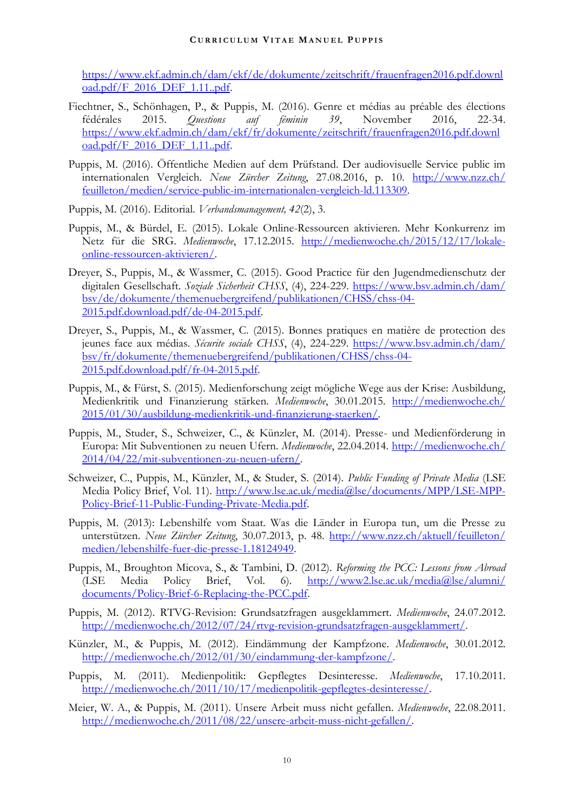[https://www.ekf.admin.ch/dam/ekf/de/dokumente/zeitschrift/frauenfragen2016.pdf.downl](https://www.ekf.admin.ch/dam/ekf/de/dokumente/zeitschrift/frauenfragen2016.pdf.download.pdf/F_2016_DEF_1.11..pdf) [oad.pdf/F\\_2016\\_DEF\\_1.11..pdf.](https://www.ekf.admin.ch/dam/ekf/de/dokumente/zeitschrift/frauenfragen2016.pdf.download.pdf/F_2016_DEF_1.11..pdf)

- Fiechtner, S., Schönhagen, P., & Puppis, M. (2016). Genre et médias au préable des élections fédérales 2015. *Questions auf féminin 39*, November 2016, 22-34. [https://www.ekf.admin.ch/dam/ekf/fr/dokumente/zeitschrift/frauenfragen2016.pdf.downl](https://www.ekf.admin.ch/dam/ekf/fr/dokumente/zeitschrift/frauenfragen2016.pdf.download.pdf/F_2016_DEF_1.11..pdf) [oad.pdf/F\\_2016\\_DEF\\_1.11..pdf.](https://www.ekf.admin.ch/dam/ekf/fr/dokumente/zeitschrift/frauenfragen2016.pdf.download.pdf/F_2016_DEF_1.11..pdf)
- Puppis, M. (2016). Öffentliche Medien auf dem Prüfstand. Der audiovisuelle Service public im internationalen Vergleich. *Neue Zürcher Zeitung*, 27.08.2016, p. 10. [http://www.nzz.ch/](http://www.nzz.ch/feuilleton/medien/service-public-im-internationalen-vergleich-ld.113309) [feuilleton/medien/service-public-im-internationalen-vergleich-ld.113309.](http://www.nzz.ch/feuilleton/medien/service-public-im-internationalen-vergleich-ld.113309)
- Puppis, M. (2016). Editorial. *Verbandsmanagement, 42*(2), 3.
- Puppis, M., & Bürdel, E. (2015). Lokale Online-Ressourcen aktivieren. Mehr Konkurrenz im Netz für die SRG. *Medienwoche*, 17.12.2015. [http://medienwoche.ch/2015/12/17/lokale](http://medienwoche.ch/2015/12/17/lokale-online-ressourcen-aktivieren/)[online-ressourcen-aktivieren/.](http://medienwoche.ch/2015/12/17/lokale-online-ressourcen-aktivieren/)
- Dreyer, S., Puppis, M., & Wassmer, C. (2015). Good Practice für den Jugendmedienschutz der digitalen Gesellschaft. *Soziale Sicherheit CHSS*, (4), 224-229. [https://www.bsv.admin.ch/dam/](https://www.bsv.admin.ch/dam/bsv/de/dokumente/themenuebergreifend/publikationen/CHSS/chss-04-2015.pdf.download.pdf/de-04-2015.pdf) [bsv/de/dokumente/themenuebergreifend/publikationen/CHSS/chss-04-](https://www.bsv.admin.ch/dam/bsv/de/dokumente/themenuebergreifend/publikationen/CHSS/chss-04-2015.pdf.download.pdf/de-04-2015.pdf) [2015.pdf.download.pdf/de-04-2015.pdf.](https://www.bsv.admin.ch/dam/bsv/de/dokumente/themenuebergreifend/publikationen/CHSS/chss-04-2015.pdf.download.pdf/de-04-2015.pdf)
- Dreyer, S., Puppis, M., & Wassmer, C. (2015). Bonnes pratiques en matière de protection des jeunes face aux médias. *Sécurite sociale CHSS*, (4), 224-229. [https://www.bsv.admin.ch/dam/](https://www.bsv.admin.ch/dam/bsv/fr/dokumente/themenuebergreifend/publikationen/CHSS/chss-04-2015.pdf.download.pdf/fr-04-2015.pdf) [bsv/fr/dokumente/themenuebergreifend/publikationen/CHSS/chss-04-](https://www.bsv.admin.ch/dam/bsv/fr/dokumente/themenuebergreifend/publikationen/CHSS/chss-04-2015.pdf.download.pdf/fr-04-2015.pdf) [2015.pdf.download.pdf/fr-04-2015.pdf.](https://www.bsv.admin.ch/dam/bsv/fr/dokumente/themenuebergreifend/publikationen/CHSS/chss-04-2015.pdf.download.pdf/fr-04-2015.pdf)
- Puppis, M., & Fürst, S. (2015). Medienforschung zeigt mögliche Wege aus der Krise: Ausbildung, Medienkritik und Finanzierung stärken. *Medienwoche*, 30.01.2015. [http://medienwoche.ch/](http://medienwoche.ch/2015/01/30/ausbildung-medienkritik-und-finanzierung-staerken/) [2015/01/30/ausbildung-medienkritik-und-finanzierung-staerken/.](http://medienwoche.ch/2015/01/30/ausbildung-medienkritik-und-finanzierung-staerken/)
- Puppis, M., Studer, S., Schweizer, C., & Künzler, M. (2014). Presse- und Medienförderung in Europa: Mit Subventionen zu neuen Ufern. *Medienwoche*, 22.04.2014. [http://medienwoche.ch/](http://medienwoche.ch/2014/04/22/mit-subventionen-zu-neuen-ufern/) [2014/04/22/mit-subventionen-zu-neuen-ufern/.](http://medienwoche.ch/2014/04/22/mit-subventionen-zu-neuen-ufern/)
- Schweizer, C., Puppis, M., Künzler, M., & Studer, S. (2014). *Public Funding of Private Media* (LSE Media Policy Brief, Vol. 11). [http://www.lse.ac.uk/media@lse/documents/MPP/LSE-MPP-](http://www.lse.ac.uk/media@lse/documents/MPP/LSE-MPP-Policy-Brief-11-Public-Funding-Private-Media.pdf)[Policy-Brief-11-Public-Funding-Private-Media.pdf.](http://www.lse.ac.uk/media@lse/documents/MPP/LSE-MPP-Policy-Brief-11-Public-Funding-Private-Media.pdf)
- Puppis, M. (2013): Lebenshilfe vom Staat. Was die Länder in Europa tun, um die Presse zu unterstützen. *Neue Zürcher Zeitung*, 30.07.2013, p. 48. [http://www.nzz.ch/aktuell/feuilleton/](http://www.nzz.ch/aktuell/feuilleton/medien/lebenshilfe-fuer-die-presse-1.18124949) [medien/lebenshilfe-fuer-die-presse-1.18124949.](http://www.nzz.ch/aktuell/feuilleton/medien/lebenshilfe-fuer-die-presse-1.18124949)
- Puppis, M., Broughton Micova, S., & Tambini, D. (2012). *Reforming the PCC: Lessons from Abroad*  (LSE Media Policy Brief, Vol. 6). [http://www2.lse.ac.uk/media@lse/alumni/](http://www2.lse.ac.uk/media@lse/alumni/documents/Policy-Brief-6-Replacing-the-PCC.pdf) [documents/Policy-Brief-6-Replacing-the-PCC.pdf.](http://www2.lse.ac.uk/media@lse/alumni/documents/Policy-Brief-6-Replacing-the-PCC.pdf)
- Puppis, M. (2012). RTVG-Revision: Grundsatzfragen ausgeklammert. *Medienwoche*, 24.07.2012. [http://medienwoche.ch/2012/07/24/rtvg-revision-grundsatzfragen-ausgeklammert/.](http://medienwoche.ch/2012/07/24/rtvg-revision-grundsatzfragen-ausgeklammert/)
- Künzler, M., & Puppis, M. (2012). Eindämmung der Kampfzone. *Medienwoche*, 30.01.2012. [http://medienwoche.ch/2012/01/30/eindammung-der-kampfzone/.](http://medienwoche.ch/2012/01/30/eindammung-der-kampfzone/)
- Puppis, M. (2011). Medienpolitik: Gepflegtes Desinteresse. *Medienwoche*, 17.10.2011. [http://medienwoche.ch/2011/10/17/medienpolitik-gepflegtes-desinteresse/.](http://medienwoche.ch/2011/10/17/medienpolitik-gepflegtes-desinteresse/)
- Meier, W. A., & Puppis, M. (2011). Unsere Arbeit muss nicht gefallen. *Medienwoche*, 22.08.2011. [http://medienwoche.ch/2011/08/22/unsere-arbeit-muss-nicht-gefallen/.](http://medienwoche.ch/2011/08/22/unsere-arbeit-muss-nicht-gefallen/)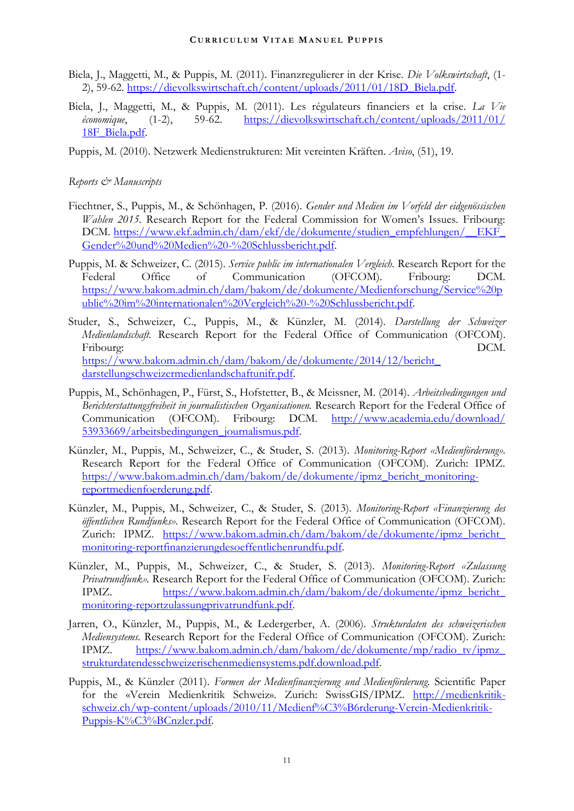- Biela, J., Maggetti, M., & Puppis, M. (2011). Finanzregulierer in der Krise. *Die Volkswirtschaft*, (1- 2), 59-62. [https://dievolkswirtschaft.ch/content/uploads/2011/01/18D\\_Biela.pdf.](https://dievolkswirtschaft.ch/content/uploads/2011/01/18D_Biela.pdf)
- Biela, J., Maggetti, M., & Puppis, M. (2011). Les régulateurs financiers et la crise. *La Vie économique*, (1-2), 59-62. [https://dievolkswirtschaft.ch/content/uploads/2011/01/](https://dievolkswirtschaft.ch/content/uploads/2011/01/%0b18F_Biela.pdf) [18F\\_Biela.pdf.](https://dievolkswirtschaft.ch/content/uploads/2011/01/%0b18F_Biela.pdf)
- Puppis, M. (2010). Netzwerk Medienstrukturen: Mit vereinten Kräften. *Aviso*, (51), 19.

## *Reports & Manuscripts*

- Fiechtner, S., Puppis, M., & Schönhagen, P. (2016). *Gender und Medien im Vorfeld der eidgenössischen Wahlen 2015.* Research Report for the Federal Commission for Women's Issues. Fribourg: DCM. [https://www.ekf.admin.ch/dam/ekf/de/dokumente/studien\\_empfehlungen/\\_\\_EKF\\_](https://www.ekf.admin.ch/dam/ekf/de/dokumente/studien_empfehlungen/__EKF_Gender%20und%20Medien%20-%20Schlussbericht.pdf) [Gender%20und%20Medien%20-%20Schlussbericht.pdf.](https://www.ekf.admin.ch/dam/ekf/de/dokumente/studien_empfehlungen/__EKF_Gender%20und%20Medien%20-%20Schlussbericht.pdf)
- Puppis, M. & Schweizer, C. (2015). *Service public im internationalen Vergleich.* Research Report for the Federal Office of Communication (OFCOM). Fribourg: DCM. [https://www.bakom.admin.ch/dam/bakom/de/dokumente/Medienforschung/Service%20p](https://www.bakom.admin.ch/dam/bakom/de/dokumente/Medienforschung/Service%20public%20im%20internationalen%20Vergleich%20-%20Schlussbericht.pdf) [ublic%20im%20internationalen%20Vergleich%20-%20Schlussbericht.pdf.](https://www.bakom.admin.ch/dam/bakom/de/dokumente/Medienforschung/Service%20public%20im%20internationalen%20Vergleich%20-%20Schlussbericht.pdf)
- Studer, S., Schweizer, C., Puppis, M., & Künzler, M. (2014). *Darstellung der Schweizer Medienlandschaft.* Research Report for the Federal Office of Communication (OFCOM). Fribourg: DCM. [https://www.bakom.admin.ch/dam/bakom/de/dokumente/2014/12/bericht\\_](https://www.bakom.admin.ch/dam/bakom/de/dokumente/2014/12/bericht_darstellungschweizermedienlandschaftunifr.pdf) [darstellungschweizermedienlandschaftunifr.pdf.](https://www.bakom.admin.ch/dam/bakom/de/dokumente/2014/12/bericht_darstellungschweizermedienlandschaftunifr.pdf)
- Puppis, M., Schönhagen, P., Fürst, S., Hofstetter, B., & Meissner, M. (2014). *Arbeitsbedingungen und Berichterstattungsfreiheit in journalistischen Organisationen.* Research Report for the Federal Office of Communication (OFCOM). Fribourg: DCM. [http://www.academia.edu/download/](http://www.academia.edu/download/53933669/arbeitsbedingungen_journalismus.pdf) [53933669/arbeitsbedingungen\\_journalismus.pdf.](http://www.academia.edu/download/53933669/arbeitsbedingungen_journalismus.pdf)
- Künzler, M., Puppis, M., Schweizer, C., & Studer, S. (2013). *Monitoring-Report «Medienförderung».* Research Report for the Federal Office of Communication (OFCOM). Zurich: IPMZ. [https://www.bakom.admin.ch/dam/bakom/de/dokumente/ipmz\\_bericht\\_monitoring](https://www.bakom.admin.ch/dam/bakom/de/dokumente/ipmz_bericht_monitoring-reportmedienfoerderung.pdf)[reportmedienfoerderung.pdf.](https://www.bakom.admin.ch/dam/bakom/de/dokumente/ipmz_bericht_monitoring-reportmedienfoerderung.pdf)
- Künzler, M., Puppis, M., Schweizer, C., & Studer, S. (2013). *Monitoring-Report «Finanzierung des öffentlichen Rundfunks».* Research Report for the Federal Office of Communication (OFCOM). Zurich: IPMZ. [https://www.bakom.admin.ch/dam/bakom/de/dokumente/ipmz\\_bericht\\_](https://www.bakom.admin.ch/dam/bakom/de/dokumente/ipmz_bericht_monitoring-reportfinanzierungdesoeffentlichenrundfu.pdf) [monitoring-reportfinanzierungdesoeffentlichenrundfu.pdf.](https://www.bakom.admin.ch/dam/bakom/de/dokumente/ipmz_bericht_monitoring-reportfinanzierungdesoeffentlichenrundfu.pdf)
- Künzler, M., Puppis, M., Schweizer, C., & Studer, S. (2013). *Monitoring-Report «Zulassung Privatrundfunk».* Research Report for the Federal Office of Communication (OFCOM). Zurich: IPMZ. [https://www.bakom.admin.ch/dam/bakom/de/dokumente/ipmz\\_bericht\\_](https://www.bakom.admin.ch/dam/bakom/de/dokumente/ipmz_bericht_monitoring-reportzulassungprivatrundfunk.pdf) [monitoring-reportzulassungprivatrundfunk.pdf.](https://www.bakom.admin.ch/dam/bakom/de/dokumente/ipmz_bericht_monitoring-reportzulassungprivatrundfunk.pdf)
- Jarren, O., Künzler, M., Puppis, M., & Ledergerber, A. (2006). *Strukturdaten des schweizerischen Mediensystems.* Research Report for the Federal Office of Communication (OFCOM). Zurich: IPMZ. [https://www.bakom.admin.ch/dam/bakom/de/dokumente/mp/radio\\_tv/ipmz\\_](https://www.bakom.admin.ch/dam/bakom/de/dokumente/mp/radio_tv/ipmz_strukturdatendesschweizerischenmediensystems.pdf.download.pdf) [strukturdatendesschweizerischenmediensystems.pdf.download.pdf.](https://www.bakom.admin.ch/dam/bakom/de/dokumente/mp/radio_tv/ipmz_strukturdatendesschweizerischenmediensystems.pdf.download.pdf)
- Puppis, M., & Künzler (2011). *Formen der Medienfinanzierung und Medienförderung.* Scientific Paper for the «Verein Medienkritik Schweiz». Zurich: SwissGIS/IPMZ. [http://medienkritik](http://medienkritik-schweiz.ch/wp-content/uploads/2010/11/Medienf%C3%B6rderung-Verein-Medienkritik-Puppis-K%C3%BCnzler.pdf)[schweiz.ch/wp-content/uploads/2010/11/Medienf%C3%B6rderung-Verein-Medienkritik-](http://medienkritik-schweiz.ch/wp-content/uploads/2010/11/Medienf%C3%B6rderung-Verein-Medienkritik-Puppis-K%C3%BCnzler.pdf)Puppis-K%C3%BCnzler.pdf.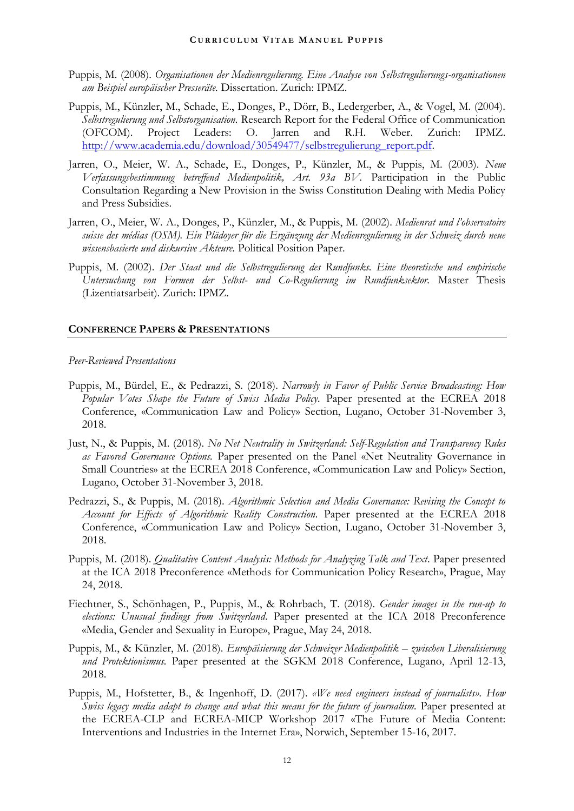- Puppis, M. (2008). *Organisationen der Medienregulierung. Eine Analyse von Selbstregulierungs-organisationen am Beispiel europäischer Presseräte.* Dissertation. Zurich: IPMZ.
- Puppis, M., Künzler, M., Schade, E., Donges, P., Dörr, B., Ledergerber, A., & Vogel, M. (2004). *Selbstregulierung und Selbstorganisation.* Research Report for the Federal Office of Communication (OFCOM). Project Leaders: O. Jarren and R.H. Weber. Zurich: IPMZ. [http://www.academia.edu/download/30549477/selbstregulierung\\_report.pdf.](http://www.academia.edu/download/30549477/selbstregulierung_report.pdf)
- Jarren, O., Meier, W. A., Schade, E., Donges, P., Künzler, M., & Puppis, M. (2003). *Neue Verfassungsbestimmung betreffend Medienpolitik, Art. 93a BV.* Participation in the Public Consultation Regarding a New Provision in the Swiss Constitution Dealing with Media Policy and Press Subsidies.
- Jarren, O., Meier, W. A., Donges, P., Künzler, M., & Puppis, M. (2002). *Medienrat und l'observatoire suisse des médias (OSM). Ein Plädoyer für die Ergänzung der Medienregulierung in der Schweiz durch neue wissensbasierte und diskursive Akteure.* Political Position Paper.
- Puppis, M. (2002). *Der Staat und die Selbstregulierung des Rundfunks. Eine theoretische und empirische Untersuchung von Formen der Selbst- und Co-Regulierung im Rundfunksektor.* Master Thesis (Lizentiatsarbeit). Zurich: IPMZ.

#### **CONFERENCE PAPERS & PRESENTATIONS**

#### *Peer-Reviewed Presentations*

- Puppis, M., Bürdel, E., & Pedrazzi, S. (2018). *Narrowly in Favor of Public Service Broadcasting: How Popular Votes Shape the Future of Swiss Media Policy.* Paper presented at the ECREA 2018 Conference, «Communication Law and Policy» Section, Lugano, October 31-November 3, 2018.
- Just, N., & Puppis, M. (2018). *No Net Neutrality in Switzerland: Self-Regulation and Transparency Rules as Favored Governance Options.* Paper presented on the Panel «Net Neutrality Governance in Small Countries» at the ECREA 2018 Conference, «Communication Law and Policy» Section, Lugano, October 31-November 3, 2018.
- Pedrazzi, S., & Puppis, M. (2018). *Algorithmic Selection and Media Governance: Revising the Concept to Account for Effects of Algorithmic Reality Construction.* Paper presented at the ECREA 2018 Conference, «Communication Law and Policy» Section, Lugano, October 31-November 3, 2018.
- Puppis, M. (2018). *Qualitative Content Analysis: Methods for Analyzing Talk and Text*. Paper presented at the ICA 2018 Preconference «Methods for Communication Policy Research», Prague, May 24, 2018.
- Fiechtner, S., Schönhagen, P., Puppis, M., & Rohrbach, T. (2018). *Gender images in the run-up to elections: Unusual findings from Switzerland*. Paper presented at the ICA 2018 Preconference «Media, Gender and Sexuality in Europe», Prague, May 24, 2018.
- Puppis, M., & Künzler, M. (2018). *Europäisierung der Schweizer Medienpolitik – zwischen Liberalisierung und Protektionismus.* Paper presented at the SGKM 2018 Conference, Lugano, April 12-13, 2018.
- Puppis, M., Hofstetter, B., & Ingenhoff, D. (2017). *«We need engineers instead of journalists». How Swiss legacy media adapt to change and what this means for the future of journalism.* Paper presented at the ECREA-CLP and ECREA-MICP Workshop 2017 «The Future of Media Content: Interventions and Industries in the Internet Era», Norwich, September 15-16, 2017.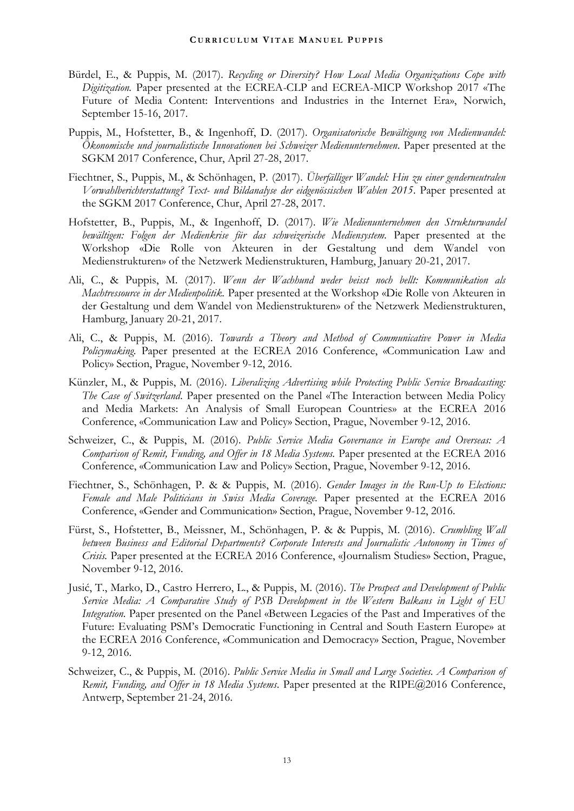- Bürdel, E., & Puppis, M. (2017). *Recycling or Diversity? How Local Media Organizations Cope with Digitization.* Paper presented at the ECREA-CLP and ECREA-MICP Workshop 2017 «The Future of Media Content: Interventions and Industries in the Internet Era», Norwich, September 15-16, 2017.
- Puppis, M., Hofstetter, B., & Ingenhoff, D. (2017). *Organisatorische Bewältigung von Medienwandel: Ökonomische und journalistische Innovationen bei Schweizer Medienunternehmen*. Paper presented at the SGKM 2017 Conference, Chur, April 27-28, 2017.
- Fiechtner, S., Puppis, M., & Schönhagen, P. (2017). *Überfälliger Wandel: Hin zu einer genderneutralen Vorwahlberichterstattung? Text- und Bildanalyse der eidgenössischen Wahlen 2015*. Paper presented at the SGKM 2017 Conference, Chur, April 27-28, 2017.
- Hofstetter, B., Puppis, M., & Ingenhoff, D. (2017). *Wie Medienunternehmen den Strukturwandel bewältigen: Folgen der Medienkrise für das schweizerische Mediensystem.* Paper presented at the Workshop «Die Rolle von Akteuren in der Gestaltung und dem Wandel von Medienstrukturen» of the Netzwerk Medienstrukturen, Hamburg, January 20-21, 2017.
- Ali, C., & Puppis, M. (2017). *Wenn der Wachhund weder beisst noch bellt: Kommunikation als Machtressource in der Medienpolitik.* Paper presented at the Workshop «Die Rolle von Akteuren in der Gestaltung und dem Wandel von Medienstrukturen» of the Netzwerk Medienstrukturen, Hamburg, January 20-21, 2017.
- Ali, C., & Puppis, M. (2016). *Towards a Theory and Method of Communicative Power in Media Policymaking.* Paper presented at the ECREA 2016 Conference, «Communication Law and Policy» Section, Prague, November 9-12, 2016.
- Künzler, M., & Puppis, M. (2016). *Liberalizing Advertising while Protecting Public Service Broadcasting: The Case of Switzerland*. Paper presented on the Panel «The Interaction between Media Policy and Media Markets: An Analysis of Small European Countries» at the ECREA 2016 Conference, «Communication Law and Policy» Section, Prague, November 9-12, 2016.
- Schweizer, C., & Puppis, M. (2016). *Public Service Media Governance in Europe and Overseas: A Comparison of Remit, Funding, and Offer in 18 Media Systems.* Paper presented at the ECREA 2016 Conference, «Communication Law and Policy» Section, Prague, November 9-12, 2016.
- Fiechtner, S., Schönhagen, P. & & Puppis, M. (2016). *Gender Images in the Run-Up to Elections: Female and Male Politicians in Swiss Media Coverage.* Paper presented at the ECREA 2016 Conference, «Gender and Communication» Section, Prague, November 9-12, 2016.
- Fürst, S., Hofstetter, B., Meissner, M., Schönhagen, P. & & Puppis, M. (2016). *Crumbling Wall between Business and Editorial Departments? Corporate Interests and Journalistic Autonomy in Times of Crisis.* Paper presented at the ECREA 2016 Conference, «Journalism Studies» Section, Prague, November 9-12, 2016.
- Jusić, T., Marko, D., Castro Herrero, L., & Puppis, M. (2016). *The Prospect and Development of Public Service Media: A Comparative Study of PSB Development in the Western Balkans in Light of EU Integration.* Paper presented on the Panel «Between Legacies of the Past and Imperatives of the Future: Evaluating PSM's Democratic Functioning in Central and South Eastern Europe» at the ECREA 2016 Conference, «Communication and Democracy» Section, Prague, November 9-12, 2016.
- Schweizer, C., & Puppis, M. (2016). *Public Service Media in Small and Large Societies. A Comparison of Remit, Funding, and Offer in 18 Media Systems*. Paper presented at the RIPE@2016 Conference, Antwerp, September 21-24, 2016.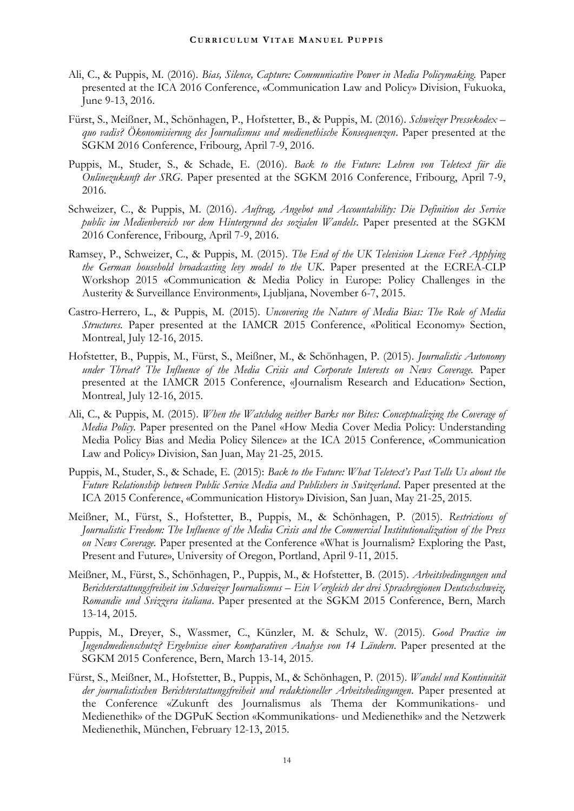- Ali, C., & Puppis, M. (2016). *Bias, Silence, Capture: Communicative Power in Media Policymaking.* Paper presented at the ICA 2016 Conference, «Communication Law and Policy» Division, Fukuoka, June 9-13, 2016.
- Fürst, S., Meißner, M., Schönhagen, P., Hofstetter, B., & Puppis, M. (2016). *Schweizer Pressekodex – quo vadis? Ökonomisierung des Journalismus und medienethische Konsequenzen*. Paper presented at the SGKM 2016 Conference, Fribourg, April 7-9, 2016.
- Puppis, M., Studer, S., & Schade, E. (2016). *Back to the Future: Lehren von Teletext für die Onlinezukunft der SRG*. Paper presented at the SGKM 2016 Conference, Fribourg, April 7-9, 2016.
- Schweizer, C., & Puppis, M. (2016). *Auftrag, Angebot und Accountability: Die Definition des Service public im Medienbereich vor dem Hintergrund des sozialen Wandels*. Paper presented at the SGKM 2016 Conference, Fribourg, April 7-9, 2016.
- Ramsey, P., Schweizer, C., & Puppis, M. (2015). *The End of the UK Television Licence Fee? Applying the German household broadcasting levy model to the UK*. Paper presented at the ECREA-CLP Workshop 2015 «Communication & Media Policy in Europe: Policy Challenges in the Austerity & Surveillance Environment», Ljubljana, November 6-7, 2015.
- Castro-Herrero, L., & Puppis, M. (2015). *Uncovering the Nature of Media Bias: The Role of Media Structures.* Paper presented at the IAMCR 2015 Conference, «Political Economy» Section, Montreal, July 12-16, 2015.
- Hofstetter, B., Puppis, M., Fürst, S., Meißner, M., & Schönhagen, P. (2015). *Journalistic Autonomy under Threat? The Influence of the Media Crisis and Corporate Interests on News Coverage.* Paper presented at the IAMCR 2015 Conference, «Journalism Research and Education» Section, Montreal, July 12-16, 2015.
- Ali, C., & Puppis, M. (2015). *When the Watchdog neither Barks nor Bites: Conceptualizing the Coverage of Media Policy.* Paper presented on the Panel «How Media Cover Media Policy: Understanding Media Policy Bias and Media Policy Silence» at the ICA 2015 Conference, «Communication Law and Policy» Division, San Juan, May 21-25, 2015.
- Puppis, M., Studer, S., & Schade, E. (2015): *Back to the Future: What Teletext's Past Tells Us about the Future Relationship between Public Service Media and Publishers in Switzerland*. Paper presented at the ICA 2015 Conference, «Communication History» Division, San Juan, May 21-25, 2015.
- Meißner, M., Fürst, S., Hofstetter, B., Puppis, M., & Schönhagen, P. (2015). *Restrictions of Journalistic Freedom: The Influence of the Media Crisis and the Commercial Institutionalization of the Press on News Coverage.* Paper presented at the Conference «What is Journalism? Exploring the Past, Present and Future», University of Oregon, Portland, April 9-11, 2015.
- Meißner, M., Fürst, S., Schönhagen, P., Puppis, M., & Hofstetter, B. (2015). *Arbeitsbedingungen und Berichterstattungsfreiheit im Schweizer Journalismus – Ein Vergleich der drei Sprachregionen Deutschschweiz, Romandie und Svizzera italiana*. Paper presented at the SGKM 2015 Conference, Bern, March 13-14, 2015.
- Puppis, M., Dreyer, S., Wassmer, C., Künzler, M. & Schulz, W. (2015). *Good Practice im Jugendmedienschutz? Ergebnisse einer komparativen Analyse von 14 Ländern*. Paper presented at the SGKM 2015 Conference, Bern, March 13-14, 2015.
- Fürst, S., Meißner, M., Hofstetter, B., Puppis, M., & Schönhagen, P. (2015). *Wandel und Kontinuität der journalistischen Berichterstattungsfreiheit und redaktioneller Arbeitsbedingungen*. Paper presented at the Conference «Zukunft des Journalismus als Thema der Kommunikations- und Medienethik» of the DGPuK Section «Kommunikations- und Medienethik» and the Netzwerk Medienethik, München, February 12-13, 2015.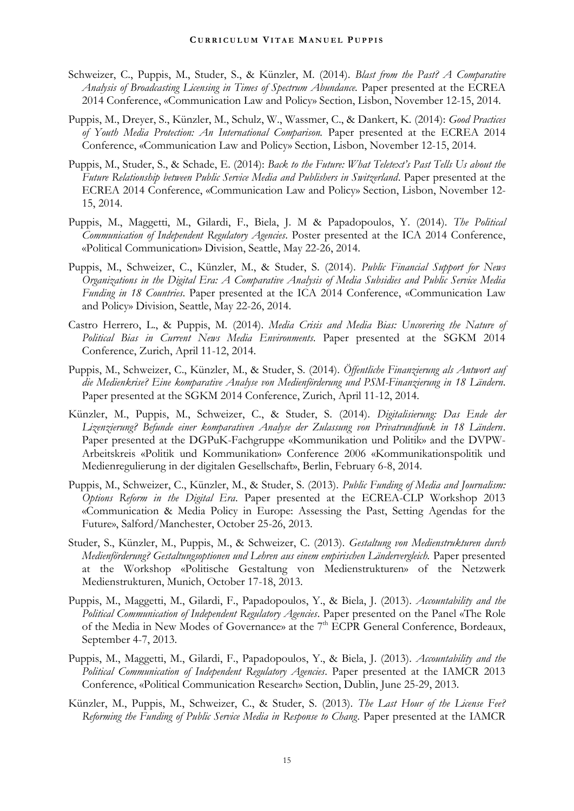- Schweizer, C., Puppis, M., Studer, S., & Künzler, M. (2014). *Blast from the Past? A Comparative Analysis of Broadcasting Licensing in Times of Spectrum Abundance.* Paper presented at the ECREA 2014 Conference, «Communication Law and Policy» Section, Lisbon, November 12-15, 2014.
- Puppis, M., Dreyer, S., Künzler, M., Schulz, W., Wassmer, C., & Dankert, K. (2014): *Good Practices of Youth Media Protection: An International Comparison.* Paper presented at the ECREA 2014 Conference, «Communication Law and Policy» Section, Lisbon, November 12-15, 2014.
- Puppis, M., Studer, S., & Schade, E. (2014): *Back to the Future: What Teletext's Past Tells Us about the Future Relationship between Public Service Media and Publishers in Switzerland*. Paper presented at the ECREA 2014 Conference, «Communication Law and Policy» Section, Lisbon, November 12- 15, 2014.
- Puppis, M., Maggetti, M., Gilardi, F., Biela, J. M & Papadopoulos, Y. (2014). *The Political Communication of Independent Regulatory Agencies*. Poster presented at the ICA 2014 Conference, «Political Communication» Division, Seattle, May 22-26, 2014.
- Puppis, M., Schweizer, C., Künzler, M., & Studer, S. (2014). *Public Financial Support for News Organizations in the Digital Era: A Comparative Analysis of Media Subsidies and Public Service Media Funding in 18 Countries*. Paper presented at the ICA 2014 Conference, «Communication Law and Policy» Division, Seattle, May 22-26, 2014.
- Castro Herrero, L., & Puppis, M. (2014). *Media Crisis and Media Bias: Uncovering the Nature of Political Bias in Current News Media Environments*. Paper presented at the SGKM 2014 Conference, Zurich, April 11-12, 2014.
- Puppis, M., Schweizer, C., Künzler, M., & Studer, S. (2014). *Öffentliche Finanzierung als Antwort auf die Medienkrise? Eine komparative Analyse von Medienförderung und PSM-Finanzierung in 18 Ländern*. Paper presented at the SGKM 2014 Conference, Zurich, April 11-12, 2014.
- Künzler, M., Puppis, M., Schweizer, C., & Studer, S. (2014). *Digitalisierung: Das Ende der Lizenzierung? Befunde einer komparativen Analyse der Zulassung von Privatrundfunk in 18 Ländern*. Paper presented at the DGPuK-Fachgruppe «Kommunikation und Politik» and the DVPW-Arbeitskreis «Politik und Kommunikation» Conference 2006 «Kommunikationspolitik und Medienregulierung in der digitalen Gesellschaft», Berlin, February 6-8, 2014.
- Puppis, M., Schweizer, C., Künzler, M., & Studer, S. (2013). *Public Funding of Media and Journalism: Options Reform in the Digital Era*. Paper presented at the ECREA-CLP Workshop 2013 «Communication & Media Policy in Europe: Assessing the Past, Setting Agendas for the Future», Salford/Manchester, October 25-26, 2013.
- Studer, S., Künzler, M., Puppis, M., & Schweizer, C. (2013). *Gestaltung von Medienstrukturen durch Medienförderung? Gestaltungsoptionen und Lehren aus einem empirischen Ländervergleich.* Paper presented at the Workshop «Politische Gestaltung von Medienstrukturen» of the Netzwerk Medienstrukturen, Munich, October 17-18, 2013.
- Puppis, M., Maggetti, M., Gilardi, F., Papadopoulos, Y., & Biela, J. (2013). *Accountability and the Political Communication of Independent Regulatory Agencies*. Paper presented on the Panel «The Role of the Media in New Modes of Governance» at the 7<sup>th</sup> ECPR General Conference, Bordeaux, September 4-7, 2013.
- Puppis, M., Maggetti, M., Gilardi, F., Papadopoulos, Y., & Biela, J. (2013). *Accountability and the Political Communication of Independent Regulatory Agencies*. Paper presented at the IAMCR 2013 Conference, «Political Communication Research» Section, Dublin, June 25-29, 2013.
- Künzler, M., Puppis, M., Schweizer, C., & Studer, S. (2013). *The Last Hour of the License Fee? Reforming the Funding of Public Service Media in Response to Chang*. Paper presented at the IAMCR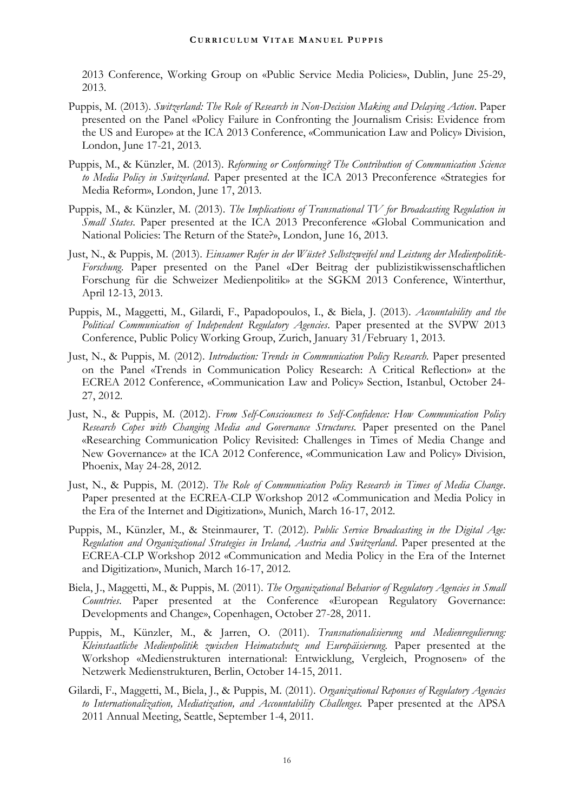2013 Conference, Working Group on «Public Service Media Policies», Dublin, June 25-29, 2013.

- Puppis, M. (2013). *Switzerland: The Role of Research in Non-Decision Making and Delaying Action*. Paper presented on the Panel «Policy Failure in Confronting the Journalism Crisis: Evidence from the US and Europe» at the ICA 2013 Conference, «Communication Law and Policy» Division, London, June 17-21, 2013.
- Puppis, M., & Künzler, M. (2013). *Reforming or Conforming? The Contribution of Communication Science to Media Policy in Switzerland*. Paper presented at the ICA 2013 Preconference «Strategies for Media Reform», London, June 17, 2013.
- Puppis, M., & Künzler, M. (2013). *The Implications of Transnational TV for Broadcasting Regulation in Small States*. Paper presented at the ICA 2013 Preconference «Global Communication and National Policies: The Return of the State?», London, June 16, 2013.
- Just, N., & Puppis, M. (2013). *Einsamer Rufer in der Wüste? Selbstzweifel und Leistung der Medienpolitik-Forschung*. Paper presented on the Panel «Der Beitrag der publizistikwissenschaftlichen Forschung für die Schweizer Medienpolitik» at the SGKM 2013 Conference, Winterthur, April 12-13, 2013.
- Puppis, M., Maggetti, M., Gilardi, F., Papadopoulos, I., & Biela, J. (2013). *Accountability and the Political Communication of Independent Regulatory Agencies*. Paper presented at the SVPW 2013 Conference, Public Policy Working Group, Zurich, January 31/February 1, 2013.
- Just, N., & Puppis, M. (2012). *Introduction: Trends in Communication Policy Research.* Paper presented on the Panel «Trends in Communication Policy Research: A Critical Reflection» at the ECREA 2012 Conference, «Communication Law and Policy» Section, Istanbul, October 24- 27, 2012.
- Just, N., & Puppis, M. (2012). *From Self-Consciousness to Self-Confidence: How Communication Policy Research Copes with Changing Media and Governance Structures.* Paper presented on the Panel «Researching Communication Policy Revisited: Challenges in Times of Media Change and New Governance» at the ICA 2012 Conference, «Communication Law and Policy» Division, Phoenix, May 24-28, 2012.
- Just, N., & Puppis, M. (2012). *The Role of Communication Policy Research in Times of Media Change*. Paper presented at the ECREA-CLP Workshop 2012 «Communication and Media Policy in the Era of the Internet and Digitization», Munich, March 16-17, 2012.
- Puppis, M., Künzler, M., & Steinmaurer, T. (2012). *Public Service Broadcasting in the Digital Age: Regulation and Organizational Strategies in Ireland, Austria and Switzerland*. Paper presented at the ECREA-CLP Workshop 2012 «Communication and Media Policy in the Era of the Internet and Digitization», Munich, March 16-17, 2012.
- Biela, J., Maggetti, M., & Puppis, M. (2011). *The Organizational Behavior of Regulatory Agencies in Small Countries*. Paper presented at the Conference «European Regulatory Governance: Developments and Change», Copenhagen, October 27-28, 2011.
- Puppis, M., Künzler, M., & Jarren, O. (2011). *Transnationalisierung und Medienregulierung:*  Kleinstaatliche Medienpolitik zwischen Heimatschutz und Europäisierung. Paper presented at the Workshop «Medienstrukturen international: Entwicklung, Vergleich, Prognosen» of the Netzwerk Medienstrukturen, Berlin, October 14-15, 2011.
- Gilardi, F., Maggetti, M., Biela, J., & Puppis, M. (2011). *Organizational Reponses of Regulatory Agencies*  to Internationalization, Mediatization, and Accountability Challenges. Paper presented at the APSA 2011 Annual Meeting, Seattle, September 1-4, 2011.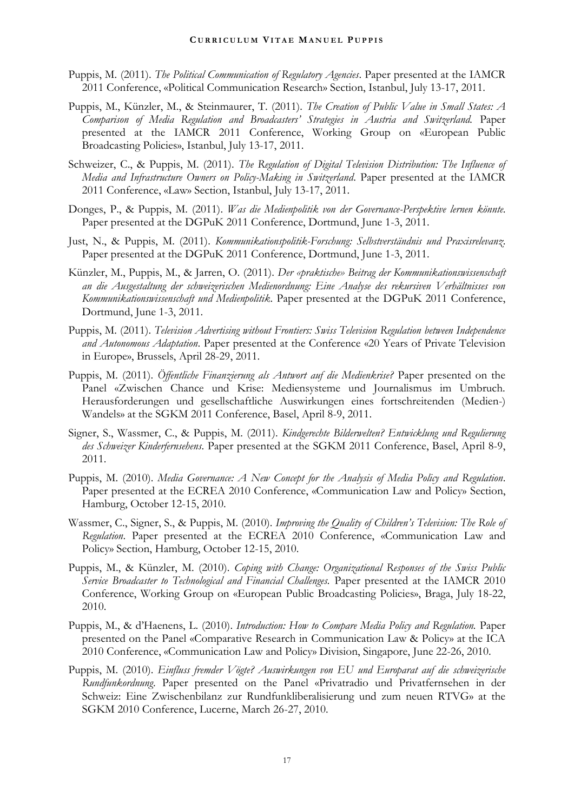- Puppis, M. (2011). *The Political Communication of Regulatory Agencies*. Paper presented at the IAMCR 2011 Conference, «Political Communication Research» Section, Istanbul, July 13-17, 2011.
- Puppis, M., Künzler, M., & Steinmaurer, T. (2011). *The Creation of Public Value in Small States: A Comparison of Media Regulation and Broadcasters' Strategies in Austria and Switzerland.* Paper presented at the IAMCR 2011 Conference, Working Group on «European Public Broadcasting Policies», Istanbul, July 13-17, 2011.
- Schweizer, C., & Puppis, M. (2011). *The Regulation of Digital Television Distribution: The Influence of Media and Infrastructure Owners on Policy-Making in Switzerland*. Paper presented at the IAMCR 2011 Conference, «Law» Section, Istanbul, July 13-17, 2011.
- Donges, P., & Puppis, M. (2011). *Was die Medienpolitik von der Governance-Perspektive lernen könnte*. Paper presented at the DGPuK 2011 Conference, Dortmund, June 1-3, 2011.
- Just, N., & Puppis, M. (2011). *Kommunikationspolitik-Forschung: Selbstverständnis und Praxisrelevanz*. Paper presented at the DGPuK 2011 Conference, Dortmund, June 1-3, 2011.
- Künzler, M., Puppis, M., & Jarren, O. (2011). *Der «praktische» Beitrag der Kommunikationswissenschaft an die Ausgestaltung der schweizerischen Medienordnung: Eine Analyse des rekursiven Verhältnisses von Kommunikationswissenschaft und Medienpolitik*. Paper presented at the DGPuK 2011 Conference, Dortmund, June 1-3, 2011.
- Puppis, M. (2011). *Television Advertising without Frontiers: Swiss Television Regulation between Independence and Autonomous Adaptation*. Paper presented at the Conference «20 Years of Private Television in Europe», Brussels, April 28-29, 2011.
- Puppis, M. (2011). *Öffentliche Finanzierung als Antwort auf die Medienkrise?* Paper presented on the Panel «Zwischen Chance und Krise: Mediensysteme und Journalismus im Umbruch. Herausforderungen und gesellschaftliche Auswirkungen eines fortschreitenden (Medien-) Wandels» at the SGKM 2011 Conference, Basel, April 8-9, 2011.
- Signer, S., Wassmer, C., & Puppis, M. (2011). *Kindgerechte Bilderwelten? Entwicklung und Regulierung des Schweizer Kinderfernsehens*. Paper presented at the SGKM 2011 Conference, Basel, April 8-9, 2011.
- Puppis, M. (2010). *Media Governance: A New Concept for the Analysis of Media Policy and Regulation*. Paper presented at the ECREA 2010 Conference, «Communication Law and Policy» Section, Hamburg, October 12-15, 2010.
- Wassmer, C., Signer, S., & Puppis, M. (2010). *Improving the Quality of Children's Television: The Role of Regulation*. Paper presented at the ECREA 2010 Conference, «Communication Law and Policy» Section, Hamburg, October 12-15, 2010.
- Puppis, M., & Künzler, M. (2010). *Coping with Change: Organizational Responses of the Swiss Public Service Broadcaster to Technological and Financial Challenges.* Paper presented at the IAMCR 2010 Conference, Working Group on «European Public Broadcasting Policies», Braga, July 18-22, 2010.
- Puppis, M., & d'Haenens, L. (2010). *Introduction: How to Compare Media Policy and Regulation.* Paper presented on the Panel «Comparative Research in Communication Law & Policy» at the ICA 2010 Conference, «Communication Law and Policy» Division, Singapore, June 22-26, 2010.
- Puppis, M. (2010). *Einfluss fremder Vögte? Auswirkungen von EU und Europarat auf die schweizerische Rundfunkordnung*. Paper presented on the Panel «Privatradio und Privatfernsehen in der Schweiz: Eine Zwischenbilanz zur Rundfunkliberalisierung und zum neuen RTVG» at the SGKM 2010 Conference, Lucerne, March 26-27, 2010.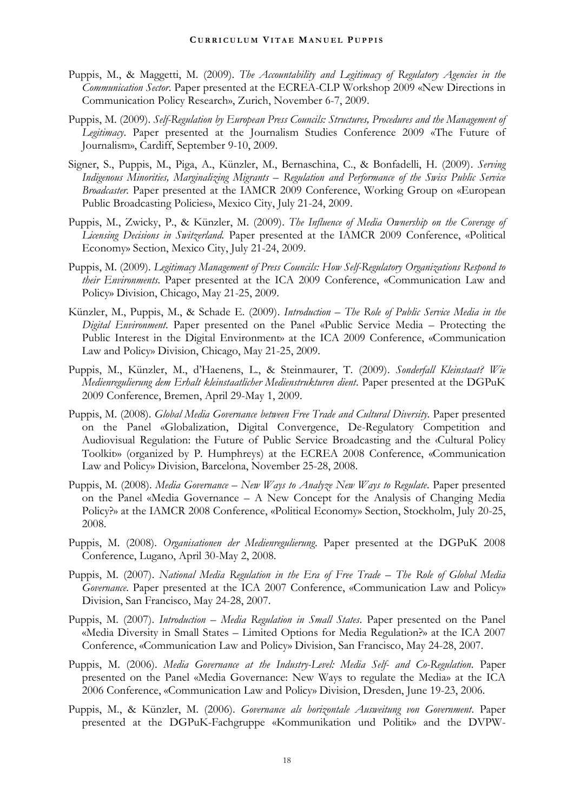- Puppis, M., & Maggetti, M. (2009). *The Accountability and Legitimacy of Regulatory Agencies in the Communication Sector*. Paper presented at the ECREA-CLP Workshop 2009 «New Directions in Communication Policy Research», Zurich, November 6-7, 2009.
- Puppis, M. (2009). *Self-Regulation by European Press Councils: Structures, Procedures and the Management of Legitimacy*. Paper presented at the Journalism Studies Conference 2009 «The Future of Journalism», Cardiff, September 9-10, 2009.
- Signer, S., Puppis, M., Piga, A., Künzler, M., Bernaschina, C., & Bonfadelli, H. (2009). *Serving Indigenous Minorities, Marginalizing Migrants – Regulation and Performance of the Swiss Public Service Broadcaster.* Paper presented at the IAMCR 2009 Conference, Working Group on «European Public Broadcasting Policies», Mexico City, July 21-24, 2009.
- Puppis, M., Zwicky, P., & Künzler, M. (2009). *The Influence of Media Ownership on the Coverage of Licensing Decisions in Switzerland.* Paper presented at the IAMCR 2009 Conference, «Political Economy» Section, Mexico City, July 21-24, 2009.
- Puppis, M. (2009). *Legitimacy Management of Press Councils: How Self-Regulatory Organizations Respond to their Environments*. Paper presented at the ICA 2009 Conference, «Communication Law and Policy» Division, Chicago, May 21-25, 2009.
- Künzler, M., Puppis, M., & Schade E. (2009). *Introduction – The Role of Public Service Media in the Digital Environment*. Paper presented on the Panel «Public Service Media – Protecting the Public Interest in the Digital Environment» at the ICA 2009 Conference, «Communication Law and Policy» Division, Chicago, May 21-25, 2009.
- Puppis, M., Künzler, M., d'Haenens, L., & Steinmaurer, T. (2009). *Sonderfall Kleinstaat? Wie Medienregulierung dem Erhalt kleinstaatlicher Medienstrukturen dient*. Paper presented at the DGPuK 2009 Conference, Bremen, April 29-May 1, 2009.
- Puppis, M. (2008). *Global Media Governance between Free Trade and Cultural Diversity*. Paper presented on the Panel «Globalization, Digital Convergence, De-Regulatory Competition and Audiovisual Regulation: the Future of Public Service Broadcasting and the ‹Cultural Policy Toolkit›» (organized by P. Humphreys) at the ECREA 2008 Conference, «Communication Law and Policy» Division, Barcelona, November 25-28, 2008.
- Puppis, M. (2008). *Media Governance – New Ways to Analyze New Ways to Regulate*. Paper presented on the Panel «Media Governance – A New Concept for the Analysis of Changing Media Policy?» at the IAMCR 2008 Conference, «Political Economy» Section, Stockholm, July 20-25, 2008.
- Puppis, M. (2008). *Organisationen der Medienregulierung*. Paper presented at the DGPuK 2008 Conference, Lugano, April 30-May 2, 2008.
- Puppis, M. (2007). *National Media Regulation in the Era of Free Trade – The Role of Global Media Governance*. Paper presented at the ICA 2007 Conference, «Communication Law and Policy» Division, San Francisco, May 24-28, 2007.
- Puppis, M. (2007). *Introduction – Media Regulation in Small States*. Paper presented on the Panel «Media Diversity in Small States – Limited Options for Media Regulation?» at the ICA 2007 Conference, «Communication Law and Policy» Division, San Francisco, May 24-28, 2007.
- Puppis, M. (2006). *Media Governance at the Industry-Level: Media Self- and Co-Regulation*. Paper presented on the Panel «Media Governance: New Ways to regulate the Media» at the ICA 2006 Conference, «Communication Law and Policy» Division, Dresden, June 19-23, 2006.
- Puppis, M., & Künzler, M. (2006). *Governance als horizontale Ausweitung von Government*. Paper presented at the DGPuK-Fachgruppe «Kommunikation und Politik» and the DVPW-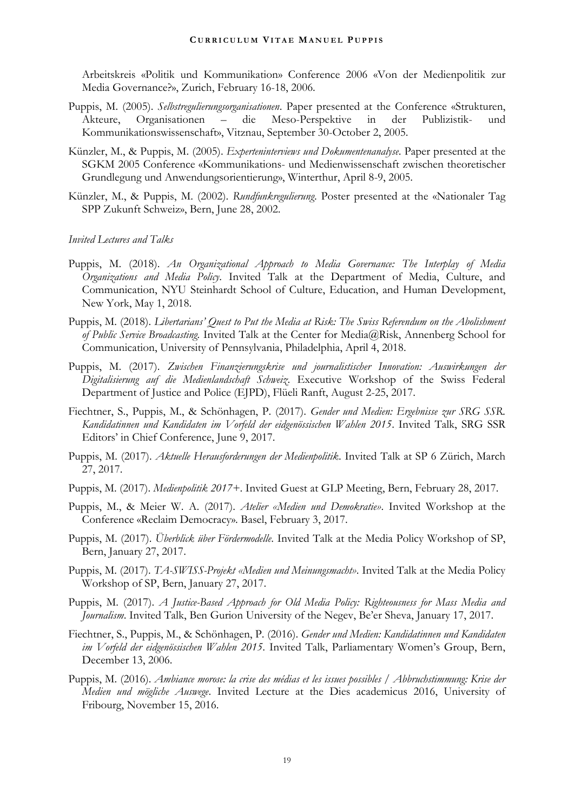Arbeitskreis «Politik und Kommunikation» Conference 2006 «Von der Medienpolitik zur Media Governance?», Zurich, February 16-18, 2006.

- Puppis, M. (2005). *Selbstregulierungsorganisationen*. Paper presented at the Conference «Strukturen, Akteure, Organisationen – die Meso-Perspektive in der Publizistik- und Kommunikationswissenschaft», Vitznau, September 30-October 2, 2005.
- Künzler, M., & Puppis, M. (2005). *Experteninterviews und Dokumentenanalyse*. Paper presented at the SGKM 2005 Conference «Kommunikations- und Medienwissenschaft zwischen theoretischer Grundlegung und Anwendungsorientierung», Winterthur, April 8-9, 2005.
- Künzler, M., & Puppis, M. (2002). *Rundfunkregulierung*. Poster presented at the «Nationaler Tag SPP Zukunft Schweiz», Bern, June 28, 2002.

#### *Invited Lectures and Talks*

- Puppis, M. (2018). *An Organizational Approach to Media Governance: The Interplay of Media Organizations and Media Policy*. Invited Talk at the Department of Media, Culture, and Communication, NYU Steinhardt School of Culture, Education, and Human Development, New York, May 1, 2018.
- Puppis, M. (2018). *Libertarians' Quest to Put the Media at Risk: The Swiss Referendum on the Abolishment of Public Service Broadcasting.* Invited Talk at the Center for Media@Risk, Annenberg School for Communication, University of Pennsylvania, Philadelphia, April 4, 2018.
- Puppis, M. (2017). Zwischen Finanzierungskrise und journalistischer Innovation: Auswirkungen der *Digitalisierung auf die Medienlandschaft Schweiz*. Executive Workshop of the Swiss Federal Department of Justice and Police (EJPD), Flüeli Ranft, August 2-25, 2017.
- Fiechtner, S., Puppis, M., & Schönhagen, P. (2017). *Gender und Medien: Ergebnisse zur SRG SSR. Kandidatinnen und Kandidaten im Vorfeld der eidgenössischen Wahlen 2015*. Invited Talk, SRG SSR Editors' in Chief Conference, June 9, 2017.
- Puppis, M. (2017). *Aktuelle Herausforderungen der Medienpolitik*. Invited Talk at SP 6 Zürich, March 27, 2017.
- Puppis, M. (2017). *Medienpolitik 2017+*. Invited Guest at GLP Meeting, Bern, February 28, 2017.
- Puppis, M., & Meier W. A. (2017). *Atelier «Medien und Demokratie»*. Invited Workshop at the Conference «Reclaim Democracy». Basel, February 3, 2017.
- Puppis, M. (2017). *Überblick über Fördermodelle*. Invited Talk at the Media Policy Workshop of SP, Bern, January 27, 2017.
- Puppis, M. (2017). *TA-SWISS-Projekt «Medien und Meinungsmacht»*. Invited Talk at the Media Policy Workshop of SP, Bern, January 27, 2017.
- Puppis, M. (2017). *A Justice-Based Approach for Old Media Policy: Righteousness for Mass Media and Journalism*. Invited Talk, Ben Gurion University of the Negev, Be'er Sheva, January 17, 2017.
- Fiechtner, S., Puppis, M., & Schönhagen, P. (2016). *Gender und Medien: Kandidatinnen und Kandidaten im Vorfeld der eidgenössischen Wahlen 2015*. Invited Talk, Parliamentary Women's Group, Bern, December 13, 2006.
- Puppis, M. (2016). *Ambiance morose: la crise des médias et les issues possibles / Abbruchstimmung: Krise der Medien und mögliche Auswege*. Invited Lecture at the Dies academicus 2016, University of Fribourg, November 15, 2016.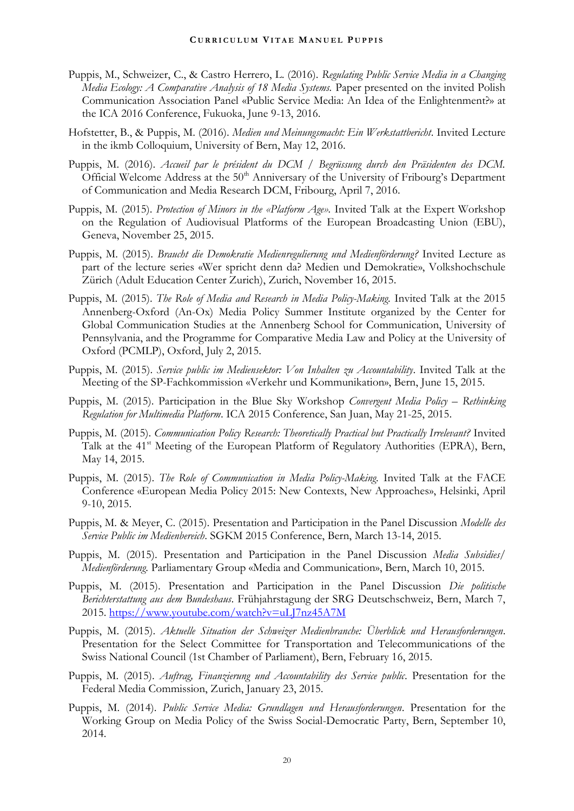- Puppis, M., Schweizer, C., & Castro Herrero, L. (2016). *Regulating Public Service Media in a Changing Media Ecology: A Comparative Analysis of 18 Media Systems.* Paper presented on the invited Polish Communication Association Panel «Public Service Media: An Idea of the Enlightenment?» at the ICA 2016 Conference, Fukuoka, June 9-13, 2016.
- Hofstetter, B., & Puppis, M. (2016). *Medien und Meinungsmacht: Ein Werkstattbericht*. Invited Lecture in the ikmb Colloquium, University of Bern, May 12, 2016.
- Puppis, M. (2016). *Accueil par le président du DCM / Begrüssung durch den Präsidenten des DCM.*  Official Welcome Address at the 50<sup>th</sup> Anniversary of the University of Fribourg's Department of Communication and Media Research DCM, Fribourg, April 7, 2016.
- Puppis, M. (2015). *Protection of Minors in the «Platform Age».* Invited Talk at the Expert Workshop on the Regulation of Audiovisual Platforms of the European Broadcasting Union (EBU), Geneva, November 25, 2015.
- Puppis, M. (2015). *Braucht die Demokratie Medienregulierung und Medienförderung?* Invited Lecture as part of the lecture series «Wer spricht denn da? Medien und Demokratie», Volkshochschule Zürich (Adult Education Center Zurich), Zurich, November 16, 2015.
- Puppis, M. (2015). *The Role of Media and Research in Media Policy-Making.* Invited Talk at the 2015 Annenberg-Oxford (An-Ox) Media Policy Summer Institute organized by the Center for Global Communication Studies at the Annenberg School for Communication, University of Pennsylvania, and the Programme for Comparative Media Law and Policy at the University of Oxford (PCMLP), Oxford, July 2, 2015.
- Puppis, M. (2015). *Service public im Mediensektor: Von Inhalten zu Accountability*. Invited Talk at the Meeting of the SP-Fachkommission «Verkehr und Kommunikation», Bern, June 15, 2015.
- Puppis, M. (2015). Participation in the Blue Sky Workshop *Convergent Media Policy – Rethinking Regulation for Multimedia Platform*. ICA 2015 Conference, San Juan, May 21-25, 2015.
- Puppis, M. (2015). *Communication Policy Research: Theoretically Practical but Practically Irrelevant?* Invited Talk at the 41<sup>st</sup> Meeting of the European Platform of Regulatory Authorities (EPRA), Bern, May 14, 2015.
- Puppis, M. (2015). *The Role of Communication in Media Policy-Making.* Invited Talk at the FACE Conference «European Media Policy 2015: New Contexts, New Approaches», Helsinki, April 9-10, 2015.
- Puppis, M. & Meyer, C. (2015). Presentation and Participation in the Panel Discussion *Modelle des Service Public im Medienbereich*. SGKM 2015 Conference, Bern, March 13-14, 2015.
- Puppis, M. (2015). Presentation and Participation in the Panel Discussion *Media Subsidies/ Medienförderung.* Parliamentary Group «Media and Communication», Bern, March 10, 2015.
- Puppis, M. (2015). Presentation and Participation in the Panel Discussion *Die politische Berichterstattung aus dem Bundeshaus*. Frühjahrstagung der SRG Deutschschweiz, Bern, March 7, 2015.<https://www.youtube.com/watch?v=uLJ7nz45A7M>
- Puppis, M. (2015). *Aktuelle Situation der Schweizer Medienbranche: Überblick und Herausforderungen*. Presentation for the Select Committee for Transportation and Telecommunications of the Swiss National Council (1st Chamber of Parliament), Bern, February 16, 2015.
- Puppis, M. (2015). *Auftrag, Finanzierung und Accountability des Service public*. Presentation for the Federal Media Commission, Zurich, January 23, 2015.
- Puppis, M. (2014). *Public Service Media: Grundlagen und Herausforderungen*. Presentation for the Working Group on Media Policy of the Swiss Social-Democratic Party, Bern, September 10, 2014.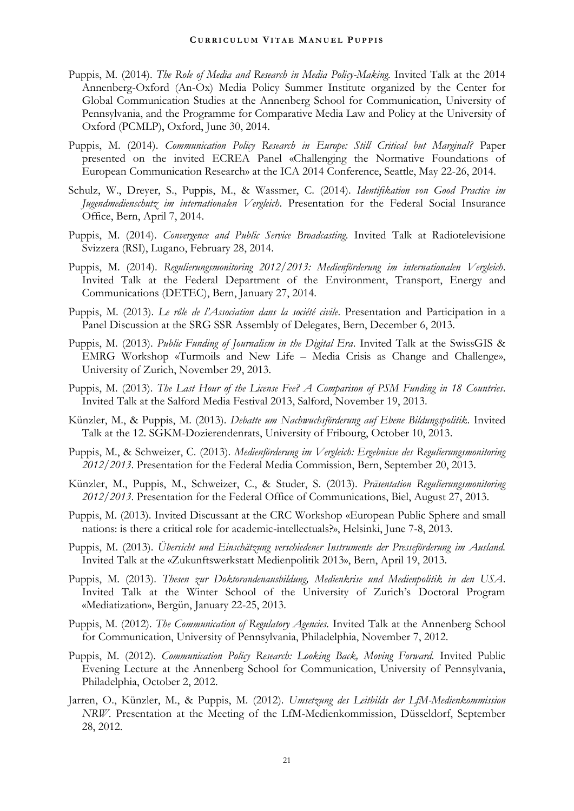- Puppis, M. (2014). *The Role of Media and Research in Media Policy-Making.* Invited Talk at the 2014 Annenberg-Oxford (An-Ox) Media Policy Summer Institute organized by the Center for Global Communication Studies at the Annenberg School for Communication, University of Pennsylvania, and the Programme for Comparative Media Law and Policy at the University of Oxford (PCMLP), Oxford, June 30, 2014.
- Puppis, M. (2014). *Communication Policy Research in Europe: Still Critical but Marginal?* Paper presented on the invited ECREA Panel «Challenging the Normative Foundations of European Communication Research» at the ICA 2014 Conference, Seattle, May 22-26, 2014.
- Schulz, W., Dreyer, S., Puppis, M., & Wassmer, C. (2014). *Identifikation von Good Practice im Jugendmedienschutz im internationalen Vergleich*. Presentation for the Federal Social Insurance Office, Bern, April 7, 2014.
- Puppis, M. (2014). *Convergence and Public Service Broadcasting*. Invited Talk at Radiotelevisione Svizzera (RSI), Lugano, February 28, 2014.
- Puppis, M. (2014). *Regulierungsmonitoring 2012/2013: Medienförderung im internationalen Vergleich*. Invited Talk at the Federal Department of the Environment, Transport, Energy and Communications (DETEC), Bern, January 27, 2014.
- Puppis, M. (2013). *Le rôle de l'Association dans la société civile*. Presentation and Participation in a Panel Discussion at the SRG SSR Assembly of Delegates, Bern, December 6, 2013.
- Puppis, M. (2013). *Public Funding of Journalism in the Digital Era*. Invited Talk at the SwissGIS & EMRG Workshop «Turmoils and New Life – Media Crisis as Change and Challenge», University of Zurich, November 29, 2013.
- Puppis, M. (2013). *The Last Hour of the License Fee? A Comparison of PSM Funding in 18 Countries*. Invited Talk at the Salford Media Festival 2013, Salford, November 19, 2013.
- Künzler, M., & Puppis, M. (2013). *Debatte um Nachwuchsförderung auf Ebene Bildungspolitik*. Invited Talk at the 12. SGKM-Dozierendenrats, University of Fribourg, October 10, 2013.
- Puppis, M., & Schweizer, C. (2013). *Medienförderung im Vergleich: Ergebnisse des Regulierungsmonitoring 2012/2013*. Presentation for the Federal Media Commission, Bern, September 20, 2013.
- Künzler, M., Puppis, M., Schweizer, C., & Studer, S. (2013). *Präsentation Regulierungsmonitoring 2012/2013*. Presentation for the Federal Office of Communications, Biel, August 27, 2013.
- Puppis, M. (2013). Invited Discussant at the CRC Workshop «European Public Sphere and small nations: is there a critical role for academic-intellectuals?», Helsinki, June 7-8, 2013.
- Puppis, M. (2013). *Übersicht und Einschätzung verschiedener Instrumente der Presseförderung im Ausland.* Invited Talk at the «Zukunftswerkstatt Medienpolitik 2013», Bern, April 19, 2013.
- Puppis, M. (2013). *Thesen zur Doktorandenausbildung, Medienkrise und Medienpolitik in den USA*. Invited Talk at the Winter School of the University of Zurich's Doctoral Program «Mediatization», Bergün, January 22-25, 2013.
- Puppis, M. (2012). *The Communication of Regulatory Agencies.* Invited Talk at the Annenberg School for Communication, University of Pennsylvania, Philadelphia, November 7, 2012.
- Puppis, M. (2012). *Communication Policy Research: Looking Back, Moving Forward.* Invited Public Evening Lecture at the Annenberg School for Communication, University of Pennsylvania, Philadelphia, October 2, 2012.
- Jarren, O., Künzler, M., & Puppis, M. (2012). *Umsetzung des Leitbilds der LfM-Medienkommission NRW*. Presentation at the Meeting of the LfM-Medienkommission, Düsseldorf, September 28, 2012.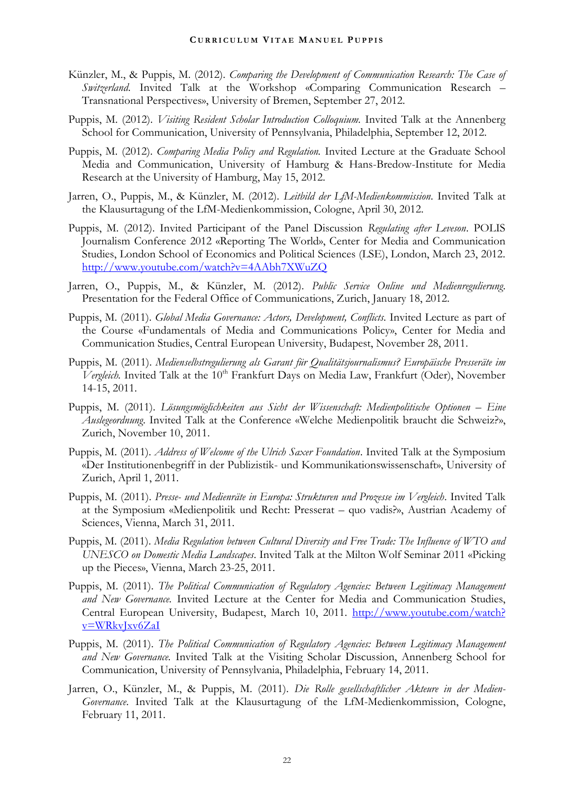- Künzler, M., & Puppis, M. (2012). *Comparing the Development of Communication Research: The Case of Switzerland*. Invited Talk at the Workshop «Comparing Communication Research – Transnational Perspectives», University of Bremen, September 27, 2012.
- Puppis, M. (2012). *Visiting Resident Scholar Introduction Colloquium.* Invited Talk at the Annenberg School for Communication, University of Pennsylvania, Philadelphia, September 12, 2012.
- Puppis, M. (2012). *Comparing Media Policy and Regulation.* Invited Lecture at the Graduate School Media and Communication, University of Hamburg & Hans-Bredow-Institute for Media Research at the University of Hamburg, May 15, 2012.
- Jarren, O., Puppis, M., & Künzler, M. (2012). *Leitbild der LfM-Medienkommission*. Invited Talk at the Klausurtagung of the LfM-Medienkommission, Cologne, April 30, 2012.
- Puppis, M. (2012). Invited Participant of the Panel Discussion *Regulating after Leveson*. POLIS Journalism Conference 2012 «Reporting The World», Center for Media and Communication Studies, London School of Economics and Political Sciences (LSE), London, March 23, 2012. <http://www.youtube.com/watch?v=4AAbh7XWuZQ>
- Jarren, O., Puppis, M., & Künzler, M. (2012). *Public Service Online und Medienregulierung*. Presentation for the Federal Office of Communications, Zurich, January 18, 2012.
- Puppis, M. (2011). *Global Media Governance: Actors, Development, Conflicts.* Invited Lecture as part of the Course «Fundamentals of Media and Communications Policy», Center for Media and Communication Studies, Central European University, Budapest, November 28, 2011.
- Puppis, M. (2011). *Medienselbstregulierung als Garant für Qualitätsjournalismus? Europäische Presseräte im*  Vergleich. Invited Talk at the 10<sup>th</sup> Frankfurt Days on Media Law, Frankfurt (Oder), November 14-15, 2011.
- Puppis, M. (2011). *Lösungsmöglichkeiten aus Sicht der Wissenschaft: Medienpolitische Optionen Eine Auslegeordnung*. Invited Talk at the Conference «Welche Medienpolitik braucht die Schweiz?», Zurich, November 10, 2011.
- Puppis, M. (2011). *Address of Welcome of the Ulrich Saxer Foundation*. Invited Talk at the Symposium «Der Institutionenbegriff in der Publizistik- und Kommunikationswissenschaft», University of Zurich, April 1, 2011.
- Puppis, M. (2011). *Presse- und Medienräte in Europa: Strukturen und Prozesse im Vergleich*. Invited Talk at the Symposium «Medienpolitik und Recht: Presserat – quo vadis?», Austrian Academy of Sciences, Vienna, March 31, 2011.
- Puppis, M. (2011). *Media Regulation between Cultural Diversity and Free Trade: The Influence of WTO and UNESCO on Domestic Media Landscapes*. Invited Talk at the Milton Wolf Seminar 2011 «Picking up the Pieces», Vienna, March 23-25, 2011.
- Puppis, M. (2011). *The Political Communication of Regulatory Agencies: Between Legitimacy Management and New Governance.* Invited Lecture at the Center for Media and Communication Studies, Central European University, Budapest, March 10, 2011. [http://www.youtube.com/watch?](http://www.youtube.com/watch?v=WRkvJxv6ZaI) [v=WRkvJxv6ZaI](http://www.youtube.com/watch?v=WRkvJxv6ZaI)
- Puppis, M. (2011). *The Political Communication of Regulatory Agencies: Between Legitimacy Management and New Governance.* Invited Talk at the Visiting Scholar Discussion, Annenberg School for Communication, University of Pennsylvania, Philadelphia, February 14, 2011.
- Jarren, O., Künzler, M., & Puppis, M. (2011). *Die Rolle gesellschaftlicher Akteure in der Medien-Governance*. Invited Talk at the Klausurtagung of the LfM-Medienkommission, Cologne, February 11, 2011.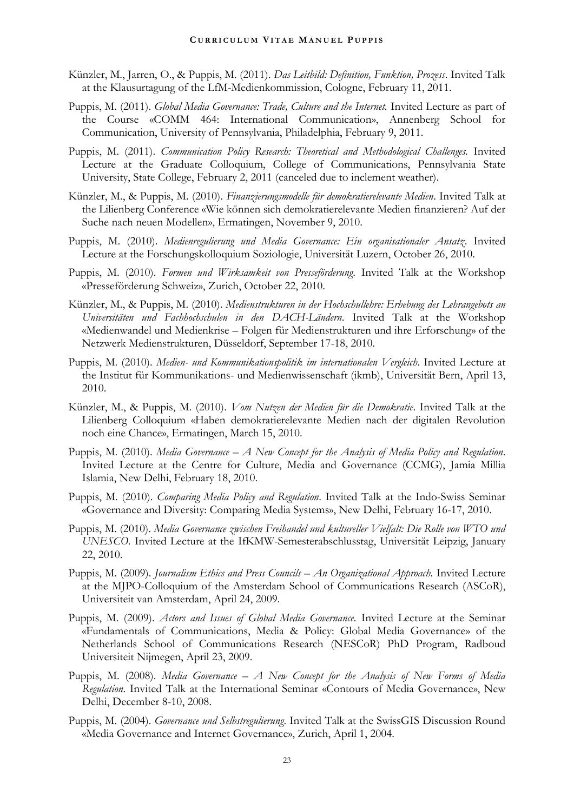- Künzler, M., Jarren, O., & Puppis, M. (2011). *Das Leitbild: Definition, Funktion, Prozess*. Invited Talk at the Klausurtagung of the LfM-Medienkommission, Cologne, February 11, 2011.
- Puppis, M. (2011). *Global Media Governance: Trade, Culture and the Internet.* Invited Lecture as part of the Course «COMM 464: International Communication», Annenberg School for Communication, University of Pennsylvania, Philadelphia, February 9, 2011.
- Puppis, M. (2011). *Communication Policy Research: Theoretical and Methodological Challenges.* Invited Lecture at the Graduate Colloquium, College of Communications, Pennsylvania State University, State College, February 2, 2011 (canceled due to inclement weather).
- Künzler, M., & Puppis, M. (2010). *Finanzierungsmodelle für demokratierelevante Medien*. Invited Talk at the Lilienberg Conference «Wie können sich demokratierelevante Medien finanzieren? Auf der Suche nach neuen Modellen», Ermatingen, November 9, 2010.
- Puppis, M. (2010). *Medienregulierung und Media Governance: Ein organisationaler Ansatz*. Invited Lecture at the Forschungskolloquium Soziologie, Universität Luzern, October 26, 2010.
- Puppis, M. (2010). *Formen und Wirksamkeit von Presseförderung*. Invited Talk at the Workshop «Presseförderung Schweiz», Zurich, October 22, 2010.
- Künzler, M., & Puppis, M. (2010). *Medienstrukturen in der Hochschullehre: Erhebung des Lehrangebots an Universitäten und Fachhochschulen in den DACH-Ländern*. Invited Talk at the Workshop «Medienwandel und Medienkrise – Folgen für Medienstrukturen und ihre Erforschung» of the Netzwerk Medienstrukturen, Düsseldorf, September 17-18, 2010.
- Puppis, M. (2010). *Medien- und Kommunikationspolitik im internationalen Vergleich*. Invited Lecture at the Institut für Kommunikations- und Medienwissenschaft (ikmb), Universität Bern, April 13, 2010.
- Künzler, M., & Puppis, M. (2010). *Vom Nutzen der Medien für die Demokratie*. Invited Talk at the Lilienberg Colloquium «Haben demokratierelevante Medien nach der digitalen Revolution noch eine Chance», Ermatingen, March 15, 2010.
- Puppis, M. (2010). *Media Governance – A New Concept for the Analysis of Media Policy and Regulation*. Invited Lecture at the Centre for Culture, Media and Governance (CCMG), Jamia Millia Islamia, New Delhi, February 18, 2010.
- Puppis, M. (2010). *Comparing Media Policy and Regulation*. Invited Talk at the Indo-Swiss Seminar «Governance and Diversity: Comparing Media Systems», New Delhi, February 16-17, 2010.
- Puppis, M. (2010). *Media Governance zwischen Freihandel und kultureller Vielfalt: Die Rolle von WTO und UNESCO.* Invited Lecture at the IfKMW-Semesterabschlusstag, Universität Leipzig, January 22, 2010.
- Puppis, M. (2009). *Journalism Ethics and Press Councils An Organizational Approach.* Invited Lecture at the MJPO-Colloquium of the Amsterdam School of Communications Research (ASCoR), Universiteit van Amsterdam, April 24, 2009.
- Puppis, M. (2009). *Actors and Issues of Global Media Governance.* Invited Lecture at the Seminar «Fundamentals of Communications, Media & Policy: Global Media Governance» of the Netherlands School of Communications Research (NESCoR) PhD Program, Radboud Universiteit Nijmegen, April 23, 2009.
- Puppis, M. (2008). *Media Governance – A New Concept for the Analysis of New Forms of Media Regulation*. Invited Talk at the International Seminar «Contours of Media Governance», New Delhi, December 8-10, 2008.
- Puppis, M. (2004). *Governance und Selbstregulierung*. Invited Talk at the SwissGIS Discussion Round «Media Governance and Internet Governance», Zurich, April 1, 2004.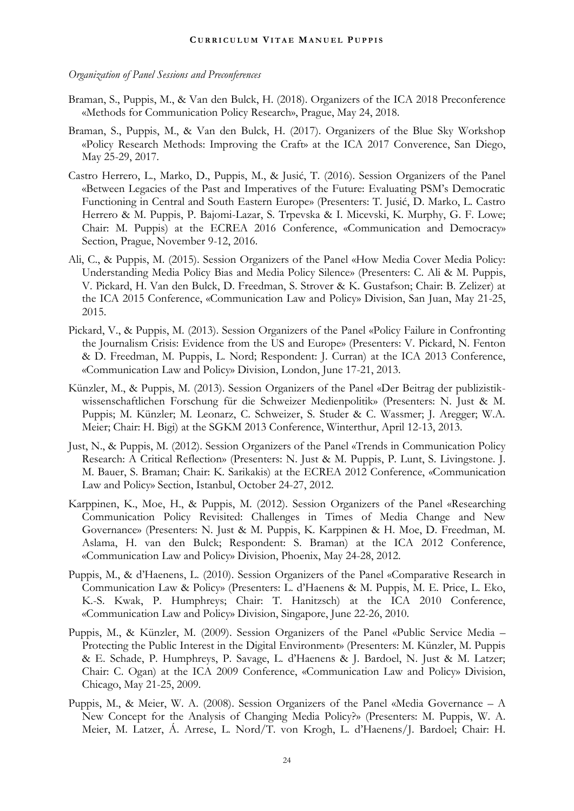#### *Organization of Panel Sessions and Preconferences*

- Braman, S., Puppis, M., & Van den Bulck, H. (2018). Organizers of the ICA 2018 Preconference «Methods for Communication Policy Research», Prague, May 24, 2018.
- Braman, S., Puppis, M., & Van den Bulck, H. (2017). Organizers of the Blue Sky Workshop «Policy Research Methods: Improving the Craft» at the ICA 2017 Converence, San Diego, May 25-29, 2017.
- Castro Herrero, L., Marko, D., Puppis, M., & Jusić, T. (2016). Session Organizers of the Panel «Between Legacies of the Past and Imperatives of the Future: Evaluating PSM's Democratic Functioning in Central and South Eastern Europe» (Presenters: T. Jusić, D. Marko, L. Castro Herrero & M. Puppis, P. Bajomi-Lazar, S. Trpevska & I. Micevski, K. Murphy, G. F. Lowe; Chair: M. Puppis) at the ECREA 2016 Conference, «Communication and Democracy» Section, Prague, November 9-12, 2016.
- Ali, C., & Puppis, M. (2015). Session Organizers of the Panel «How Media Cover Media Policy: Understanding Media Policy Bias and Media Policy Silence» (Presenters: C. Ali & M. Puppis, V. Pickard, H. Van den Bulck, D. Freedman, S. Strover & K. Gustafson; Chair: B. Zelizer) at the ICA 2015 Conference, «Communication Law and Policy» Division, San Juan, May 21-25, 2015.
- Pickard, V., & Puppis, M. (2013). Session Organizers of the Panel «Policy Failure in Confronting the Journalism Crisis: Evidence from the US and Europe» (Presenters: V. Pickard, N. Fenton & D. Freedman, M. Puppis, L. Nord; Respondent: J. Curran) at the ICA 2013 Conference, «Communication Law and Policy» Division, London, June 17-21, 2013.
- Künzler, M., & Puppis, M. (2013). Session Organizers of the Panel «Der Beitrag der publizistikwissenschaftlichen Forschung für die Schweizer Medienpolitik» (Presenters: N. Just & M. Puppis; M. Künzler; M. Leonarz, C. Schweizer, S. Studer & C. Wassmer; J. Aregger; W.A. Meier; Chair: H. Bigi) at the SGKM 2013 Conference, Winterthur, April 12-13, 2013.
- Just, N., & Puppis, M. (2012). Session Organizers of the Panel «Trends in Communication Policy Research: A Critical Reflection» (Presenters: N. Just & M. Puppis, P. Lunt, S. Livingstone. J. M. Bauer, S. Braman; Chair: K. Sarikakis) at the ECREA 2012 Conference, «Communication Law and Policy» Section, Istanbul, October 24-27, 2012.
- Karppinen, K., Moe, H., & Puppis, M. (2012). Session Organizers of the Panel «Researching Communication Policy Revisited: Challenges in Times of Media Change and New Governance» (Presenters: N. Just & M. Puppis, K. Karppinen & H. Moe, D. Freedman, M. Aslama, H. van den Bulck; Respondent: S. Braman) at the ICA 2012 Conference, «Communication Law and Policy» Division, Phoenix, May 24-28, 2012.
- Puppis, M., & d'Haenens, L. (2010). Session Organizers of the Panel «Comparative Research in Communication Law & Policy» (Presenters: L. d'Haenens & M. Puppis, M. E. Price, L. Eko, K.-S. Kwak, P. Humphreys; Chair: T. Hanitzsch) at the ICA 2010 Conference, «Communication Law and Policy» Division, Singapore, June 22-26, 2010.
- Puppis, M., & Künzler, M. (2009). Session Organizers of the Panel «Public Service Media Protecting the Public Interest in the Digital Environment» (Presenters: M. Künzler, M. Puppis & E. Schade, P. Humphreys, P. Savage, L. d'Haenens & J. Bardoel, N. Just & M. Latzer; Chair: C. Ogan) at the ICA 2009 Conference, «Communication Law and Policy» Division, Chicago, May 21-25, 2009.
- Puppis, M., & Meier, W. A. (2008). Session Organizers of the Panel «Media Governance A New Concept for the Analysis of Changing Media Policy?» (Presenters: M. Puppis, W. A. Meier, M. Latzer, Á. Arrese, L. Nord/T. von Krogh, L. d'Haenens/J. Bardoel; Chair: H.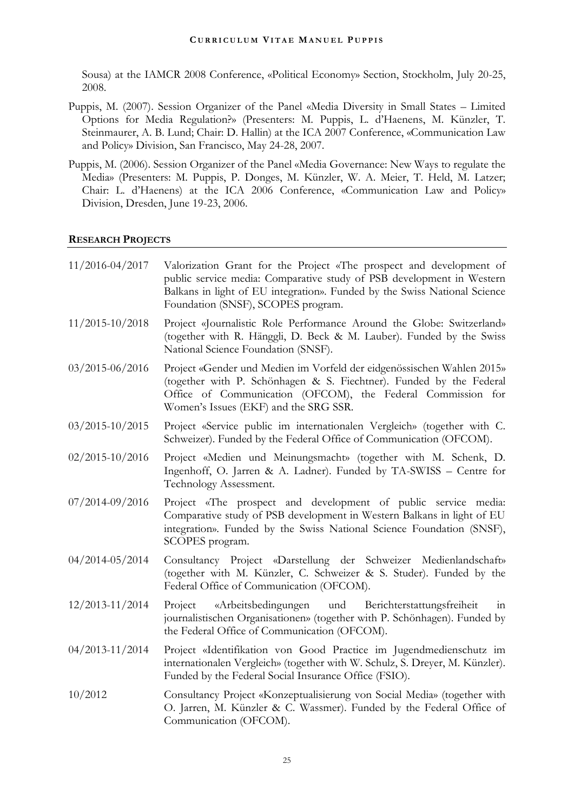Sousa) at the IAMCR 2008 Conference, «Political Economy» Section, Stockholm, July 20-25, 2008.

- Puppis, M. (2007). Session Organizer of the Panel «Media Diversity in Small States Limited Options for Media Regulation?» (Presenters: M. Puppis, L. d'Haenens, M. Künzler, T. Steinmaurer, A. B. Lund; Chair: D. Hallin) at the ICA 2007 Conference, «Communication Law and Policy» Division, San Francisco, May 24-28, 2007.
- Puppis, M. (2006). Session Organizer of the Panel «Media Governance: New Ways to regulate the Media» (Presenters: M. Puppis, P. Donges, M. Künzler, W. A. Meier, T. Held, M. Latzer; Chair: L. d'Haenens) at the ICA 2006 Conference, «Communication Law and Policy» Division, Dresden, June 19-23, 2006.

#### **RESEARCH PROJECTS**

| 11/2016-04/2017     | Valorization Grant for the Project «The prospect and development of<br>public service media: Comparative study of PSB development in Western<br>Balkans in light of EU integration». Funded by the Swiss National Science<br>Foundation (SNSF), SCOPES program. |
|---------------------|-----------------------------------------------------------------------------------------------------------------------------------------------------------------------------------------------------------------------------------------------------------------|
| $11/2015 - 10/2018$ | Project «Journalistic Role Performance Around the Globe: Switzerland»<br>(together with R. Hänggli, D. Beck & M. Lauber). Funded by the Swiss<br>National Science Foundation (SNSF).                                                                            |
| $03/2015 - 06/2016$ | Project «Gender und Medien im Vorfeld der eidgenössischen Wahlen 2015»<br>(together with P. Schönhagen & S. Fiechtner). Funded by the Federal<br>Office of Communication (OFCOM), the Federal Commission for<br>Women's Issues (EKF) and the SRG SSR.           |
| $03/2015 - 10/2015$ | Project «Service public im internationalen Vergleich» (together with C.<br>Schweizer). Funded by the Federal Office of Communication (OFCOM).                                                                                                                   |
| $02/2015 - 10/2016$ | Project «Medien und Meinungsmacht» (together with M. Schenk, D.<br>Ingenhoff, O. Jarren & A. Ladner). Funded by TA-SWISS - Centre for<br>Technology Assessment.                                                                                                 |
| 07/2014-09/2016     | Project «The prospect and development of public service media:<br>Comparative study of PSB development in Western Balkans in light of EU<br>integration». Funded by the Swiss National Science Foundation (SNSF),<br>SCOPES program.                            |
| 04/2014-05/2014     | Consultancy Project «Darstellung der Schweizer Medienlandschaft»<br>(together with M. Künzler, C. Schweizer & S. Studer). Funded by the<br>Federal Office of Communication (OFCOM).                                                                             |
| $12/2013 - 11/2014$ | Berichterstattungsfreiheit<br>Project<br>«Arbeitsbedingungen und<br>111<br>journalistischen Organisationen» (together with P. Schönhagen). Funded by<br>the Federal Office of Communication (OFCOM).                                                            |
| 04/2013-11/2014     | Project «Identifikation von Good Practice im Jugendmedienschutz im<br>internationalen Vergleich» (together with W. Schulz, S. Dreyer, M. Künzler).<br>Funded by the Federal Social Insurance Office (FSIO).                                                     |
| 10/2012             | Consultancy Project «Konzeptualisierung von Social Media» (together with<br>O. Jarren, M. Künzler & C. Wassmer). Funded by the Federal Office of<br>Communication (OFCOM).                                                                                      |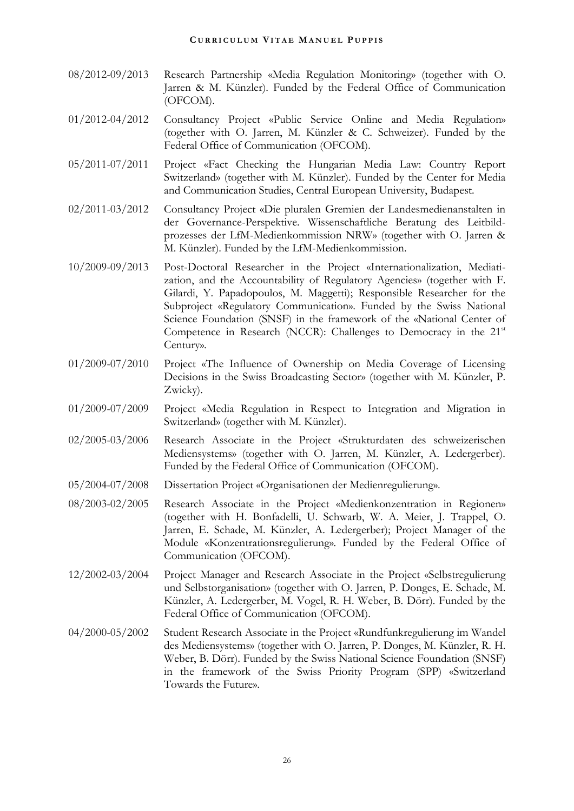- 08/2012-09/2013 Research Partnership «Media Regulation Monitoring» (together with O. Jarren & M. Künzler). Funded by the Federal Office of Communication (OFCOM).
- 01/2012-04/2012 Consultancy Project «Public Service Online and Media Regulation» (together with O. Jarren, M. Künzler & C. Schweizer). Funded by the Federal Office of Communication (OFCOM).
- 05/2011-07/2011 Project «Fact Checking the Hungarian Media Law: Country Report Switzerland» (together with M. Künzler). Funded by the Center for Media and Communication Studies, Central European University, Budapest.
- 02/2011-03/2012 Consultancy Project «Die pluralen Gremien der Landesmedienanstalten in der Governance-Perspektive. Wissenschaftliche Beratung des Leitbildprozesses der LfM-Medienkommission NRW» (together with O. Jarren & M. Künzler). Funded by the LfM-Medienkommission.
- 10/2009-09/2013 Post-Doctoral Researcher in the Project «Internationalization, Mediatization, and the Accountability of Regulatory Agencies» (together with F. Gilardi, Y. Papadopoulos, M. Maggetti); Responsible Researcher for the Subproject «Regulatory Communication». Funded by the Swiss National Science Foundation (SNSF) in the framework of the «National Center of Competence in Research (NCCR): Challenges to Democracy in the 21<sup>st</sup> Century».
- 01/2009-07/2010 Project «The Influence of Ownership on Media Coverage of Licensing Decisions in the Swiss Broadcasting Sector» (together with M. Künzler, P. Zwicky).
- 01/2009-07/2009 Project «Media Regulation in Respect to Integration and Migration in Switzerland» (together with M. Künzler).
- 02/2005-03/2006 Research Associate in the Project «Strukturdaten des schweizerischen Mediensystems» (together with O. Jarren, M. Künzler, A. Ledergerber). Funded by the Federal Office of Communication (OFCOM).
- 05/2004-07/2008 Dissertation Project «Organisationen der Medienregulierung».
- 08/2003-02/2005 Research Associate in the Project «Medienkonzentration in Regionen» (together with H. Bonfadelli, U. Schwarb, W. A. Meier, J. Trappel, O. Jarren, E. Schade, M. Künzler, A. Ledergerber); Project Manager of the Module «Konzentrationsregulierung». Funded by the Federal Office of Communication (OFCOM).
- 12/2002-03/2004 Project Manager and Research Associate in the Project «Selbstregulierung und Selbstorganisation» (together with O. Jarren, P. Donges, E. Schade, M. Künzler, A. Ledergerber, M. Vogel, R. H. Weber, B. Dörr). Funded by the Federal Office of Communication (OFCOM).
- 04/2000-05/2002 Student Research Associate in the Project «Rundfunkregulierung im Wandel des Mediensystems» (together with O. Jarren, P. Donges, M. Künzler, R. H. Weber, B. Dörr). Funded by the Swiss National Science Foundation (SNSF) in the framework of the Swiss Priority Program (SPP) «Switzerland Towards the Future».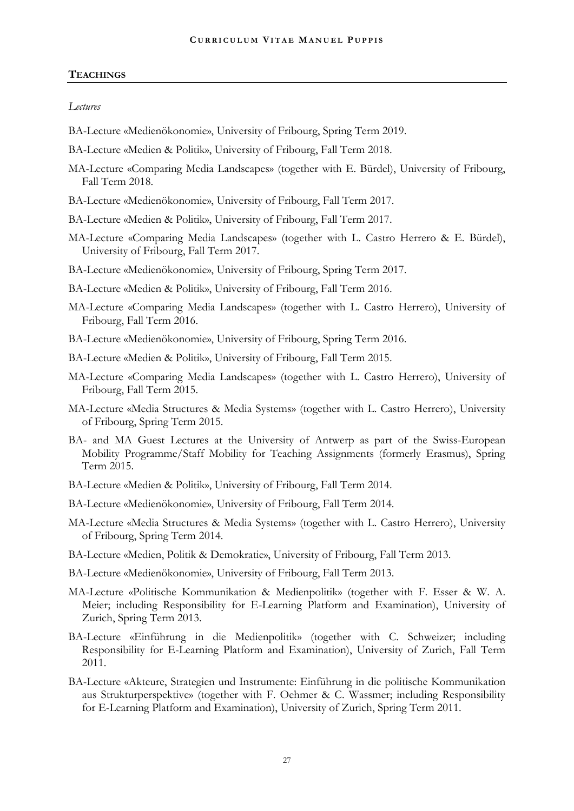#### **TEACHINGS**

#### *Lectures*

- BA-Lecture «Medienökonomie», University of Fribourg, Spring Term 2019.
- BA-Lecture «Medien & Politik», University of Fribourg, Fall Term 2018.
- MA-Lecture «Comparing Media Landscapes» (together with E. Bürdel), University of Fribourg, Fall Term 2018.
- BA-Lecture «Medienökonomie», University of Fribourg, Fall Term 2017.
- BA-Lecture «Medien & Politik», University of Fribourg, Fall Term 2017.
- MA-Lecture «Comparing Media Landscapes» (together with L. Castro Herrero & E. Bürdel), University of Fribourg, Fall Term 2017.
- BA-Lecture «Medienökonomie», University of Fribourg, Spring Term 2017.
- BA-Lecture «Medien & Politik», University of Fribourg, Fall Term 2016.
- MA-Lecture «Comparing Media Landscapes» (together with L. Castro Herrero), University of Fribourg, Fall Term 2016.
- BA-Lecture «Medienökonomie», University of Fribourg, Spring Term 2016.
- BA-Lecture «Medien & Politik», University of Fribourg, Fall Term 2015.
- MA-Lecture «Comparing Media Landscapes» (together with L. Castro Herrero), University of Fribourg, Fall Term 2015.
- MA-Lecture «Media Structures & Media Systems» (together with L. Castro Herrero), University of Fribourg, Spring Term 2015.
- BA- and MA Guest Lectures at the University of Antwerp as part of the Swiss-European Mobility Programme/Staff Mobility for Teaching Assignments (formerly Erasmus), Spring Term 2015.
- BA-Lecture «Medien & Politik», University of Fribourg, Fall Term 2014.
- BA-Lecture «Medienökonomie», University of Fribourg, Fall Term 2014.
- MA-Lecture «Media Structures & Media Systems» (together with L. Castro Herrero), University of Fribourg, Spring Term 2014.
- BA-Lecture «Medien, Politik & Demokratie», University of Fribourg, Fall Term 2013.
- BA-Lecture «Medienökonomie», University of Fribourg, Fall Term 2013.
- MA-Lecture «Politische Kommunikation & Medienpolitik» (together with F. Esser & W. A. Meier; including Responsibility for E-Learning Platform and Examination), University of Zurich, Spring Term 2013.
- BA-Lecture «Einführung in die Medienpolitik» (together with C. Schweizer; including Responsibility for E-Learning Platform and Examination), University of Zurich, Fall Term 2011.
- BA-Lecture «Akteure, Strategien und Instrumente: Einführung in die politische Kommunikation aus Strukturperspektive» (together with F. Oehmer & C. Wassmer; including Responsibility for E-Learning Platform and Examination), University of Zurich, Spring Term 2011.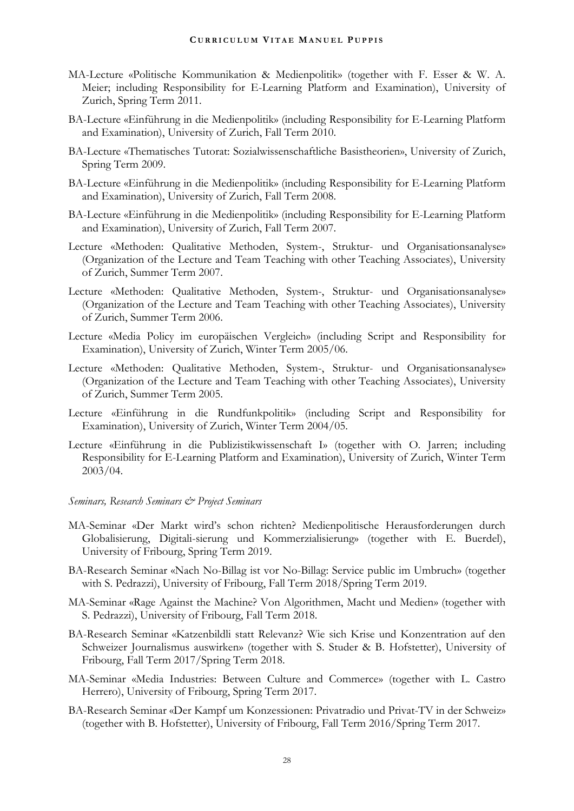- MA-Lecture «Politische Kommunikation & Medienpolitik» (together with F. Esser & W. A. Meier; including Responsibility for E-Learning Platform and Examination), University of Zurich, Spring Term 2011.
- BA-Lecture «Einführung in die Medienpolitik» (including Responsibility for E-Learning Platform and Examination), University of Zurich, Fall Term 2010.
- BA-Lecture «Thematisches Tutorat: Sozialwissenschaftliche Basistheorien», University of Zurich, Spring Term 2009.
- BA-Lecture «Einführung in die Medienpolitik» (including Responsibility for E-Learning Platform and Examination), University of Zurich, Fall Term 2008.
- BA-Lecture «Einführung in die Medienpolitik» (including Responsibility for E-Learning Platform and Examination), University of Zurich, Fall Term 2007.
- Lecture «Methoden: Qualitative Methoden, System-, Struktur- und Organisationsanalyse» (Organization of the Lecture and Team Teaching with other Teaching Associates), University of Zurich, Summer Term 2007.
- Lecture «Methoden: Qualitative Methoden, System-, Struktur- und Organisationsanalyse» (Organization of the Lecture and Team Teaching with other Teaching Associates), University of Zurich, Summer Term 2006.
- Lecture «Media Policy im europäischen Vergleich» (including Script and Responsibility for Examination), University of Zurich, Winter Term 2005/06.
- Lecture «Methoden: Qualitative Methoden, System-, Struktur- und Organisationsanalyse» (Organization of the Lecture and Team Teaching with other Teaching Associates), University of Zurich, Summer Term 2005.
- Lecture «Einführung in die Rundfunkpolitik» (including Script and Responsibility for Examination), University of Zurich, Winter Term 2004/05.
- Lecture «Einführung in die Publizistikwissenschaft I» (together with O. Jarren; including Responsibility for E-Learning Platform and Examination), University of Zurich, Winter Term 2003/04.

#### *Seminars, Research Seminars & Project Seminars*

- MA-Seminar «Der Markt wird's schon richten? Medienpolitische Herausforderungen durch Globalisierung, Digitali-sierung und Kommerzialisierung» (together with E. Buerdel), University of Fribourg, Spring Term 2019.
- BA-Research Seminar «Nach No-Billag ist vor No-Billag: Service public im Umbruch» (together with S. Pedrazzi), University of Fribourg, Fall Term 2018/Spring Term 2019.
- MA-Seminar «Rage Against the Machine? Von Algorithmen, Macht und Medien» (together with S. Pedrazzi), University of Fribourg, Fall Term 2018.
- BA-Research Seminar «Katzenbildli statt Relevanz? Wie sich Krise und Konzentration auf den Schweizer Journalismus auswirken» (together with S. Studer & B. Hofstetter), University of Fribourg, Fall Term 2017/Spring Term 2018.
- MA-Seminar «Media Industries: Between Culture and Commerce» (together with L. Castro Herrero), University of Fribourg, Spring Term 2017.
- BA-Research Seminar «Der Kampf um Konzessionen: Privatradio und Privat-TV in der Schweiz» (together with B. Hofstetter), University of Fribourg, Fall Term 2016/Spring Term 2017.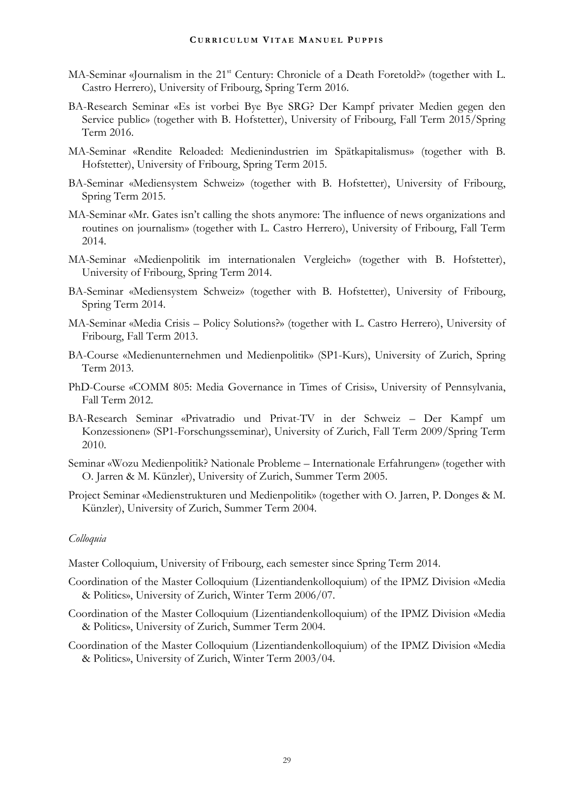- MA-Seminar «Journalism in the 21<sup>st</sup> Century: Chronicle of a Death Foretold?» (together with L. Castro Herrero), University of Fribourg, Spring Term 2016.
- BA-Research Seminar «Es ist vorbei Bye Bye SRG? Der Kampf privater Medien gegen den Service public» (together with B. Hofstetter), University of Fribourg, Fall Term 2015/Spring Term 2016.
- MA-Seminar «Rendite Reloaded: Medienindustrien im Spätkapitalismus» (together with B. Hofstetter), University of Fribourg, Spring Term 2015.
- BA-Seminar «Mediensystem Schweiz» (together with B. Hofstetter), University of Fribourg, Spring Term 2015.
- MA-Seminar «Mr. Gates isn't calling the shots anymore: The influence of news organizations and routines on journalism» (together with L. Castro Herrero), University of Fribourg, Fall Term 2014.
- MA-Seminar «Medienpolitik im internationalen Vergleich» (together with B. Hofstetter), University of Fribourg, Spring Term 2014.
- BA-Seminar «Mediensystem Schweiz» (together with B. Hofstetter), University of Fribourg, Spring Term 2014.
- MA-Seminar «Media Crisis Policy Solutions?» (together with L. Castro Herrero), University of Fribourg, Fall Term 2013.
- BA-Course «Medienunternehmen und Medienpolitik» (SP1-Kurs), University of Zurich, Spring Term 2013.
- PhD-Course «COMM 805: Media Governance in Times of Crisis», University of Pennsylvania, Fall Term 2012.
- BA-Research Seminar «Privatradio und Privat-TV in der Schweiz Der Kampf um Konzessionen» (SP1-Forschungsseminar), University of Zurich, Fall Term 2009/Spring Term 2010.
- Seminar «Wozu Medienpolitik? Nationale Probleme Internationale Erfahrungen» (together with O. Jarren & M. Künzler), University of Zurich, Summer Term 2005.
- Project Seminar «Medienstrukturen und Medienpolitik» (together with O. Jarren, P. Donges & M. Künzler), University of Zurich, Summer Term 2004.

#### *Colloquia*

- Master Colloquium, University of Fribourg, each semester since Spring Term 2014.
- Coordination of the Master Colloquium (Lizentiandenkolloquium) of the IPMZ Division «Media & Politics», University of Zurich, Winter Term 2006/07.
- Coordination of the Master Colloquium (Lizentiandenkolloquium) of the IPMZ Division «Media & Politics», University of Zurich, Summer Term 2004.
- Coordination of the Master Colloquium (Lizentiandenkolloquium) of the IPMZ Division «Media & Politics», University of Zurich, Winter Term 2003/04.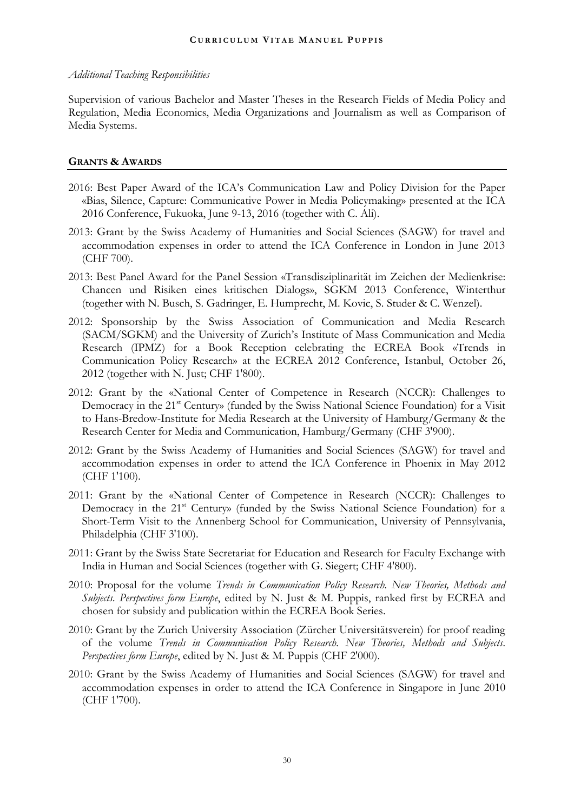#### *Additional Teaching Responsibilities*

Supervision of various Bachelor and Master Theses in the Research Fields of Media Policy and Regulation, Media Economics, Media Organizations and Journalism as well as Comparison of Media Systems.

#### **GRANTS & AWARDS**

- 2016: Best Paper Award of the ICA's Communication Law and Policy Division for the Paper «Bias, Silence, Capture: Communicative Power in Media Policymaking» presented at the ICA 2016 Conference, Fukuoka, June 9-13, 2016 (together with C. Ali).
- 2013: Grant by the Swiss Academy of Humanities and Social Sciences (SAGW) for travel and accommodation expenses in order to attend the ICA Conference in London in June 2013 (CHF 700).
- 2013: Best Panel Award for the Panel Session «Transdisziplinarität im Zeichen der Medienkrise: Chancen und Risiken eines kritischen Dialogs», SGKM 2013 Conference, Winterthur (together with N. Busch, S. Gadringer, E. Humprecht, M. Kovic, S. Studer & C. Wenzel).
- 2012: Sponsorship by the Swiss Association of Communication and Media Research (SACM/SGKM) and the University of Zurich's Institute of Mass Communication and Media Research (IPMZ) for a Book Reception celebrating the ECREA Book «Trends in Communication Policy Research» at the ECREA 2012 Conference, Istanbul, October 26, 2012 (together with N. Just; CHF 1'800).
- 2012: Grant by the «National Center of Competence in Research (NCCR): Challenges to Democracy in the 21<sup>st</sup> Century» (funded by the Swiss National Science Foundation) for a Visit to Hans-Bredow-Institute for Media Research at the University of Hamburg/Germany & the Research Center for Media and Communication, Hamburg/Germany (CHF 3'900).
- 2012: Grant by the Swiss Academy of Humanities and Social Sciences (SAGW) for travel and accommodation expenses in order to attend the ICA Conference in Phoenix in May 2012 (CHF 1'100).
- 2011: Grant by the «National Center of Competence in Research (NCCR): Challenges to Democracy in the 21<sup>st</sup> Century» (funded by the Swiss National Science Foundation) for a Short-Term Visit to the Annenberg School for Communication, University of Pennsylvania, Philadelphia (CHF 3'100).
- 2011: Grant by the Swiss State Secretariat for Education and Research for Faculty Exchange with India in Human and Social Sciences (together with G. Siegert; CHF 4'800).
- 2010: Proposal for the volume *Trends in Communication Policy Research. New Theories, Methods and Subjects. Perspectives form Europe*, edited by N. Just & M. Puppis, ranked first by ECREA and chosen for subsidy and publication within the ECREA Book Series.
- 2010: Grant by the Zurich University Association (Zürcher Universitätsverein) for proof reading of the volume *Trends in Communication Policy Research. New Theories, Methods and Subjects. Perspectives form Europe*, edited by N. Just & M. Puppis (CHF 2'000).
- 2010: Grant by the Swiss Academy of Humanities and Social Sciences (SAGW) for travel and accommodation expenses in order to attend the ICA Conference in Singapore in June 2010 (CHF 1'700).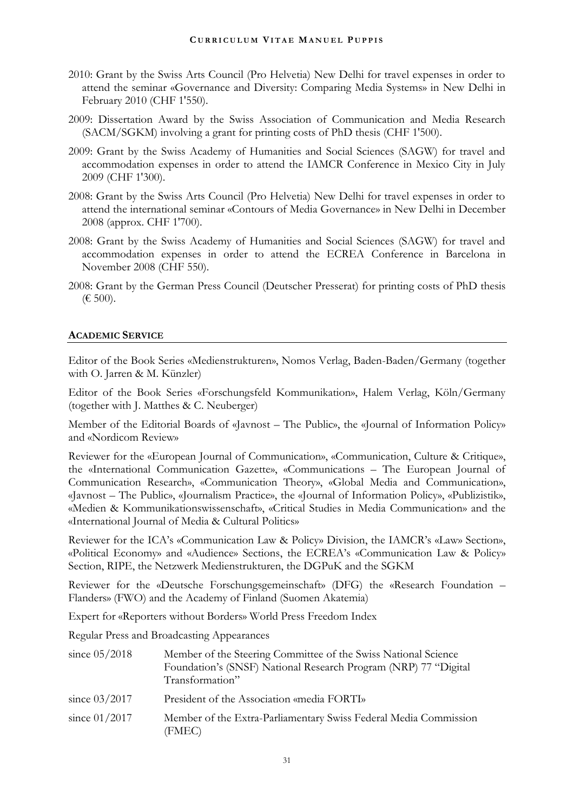- 2010: Grant by the Swiss Arts Council (Pro Helvetia) New Delhi for travel expenses in order to attend the seminar «Governance and Diversity: Comparing Media Systems» in New Delhi in February 2010 (CHF 1'550).
- 2009: Dissertation Award by the Swiss Association of Communication and Media Research (SACM/SGKM) involving a grant for printing costs of PhD thesis (CHF 1'500).
- 2009: Grant by the Swiss Academy of Humanities and Social Sciences (SAGW) for travel and accommodation expenses in order to attend the IAMCR Conference in Mexico City in July 2009 (CHF 1'300).
- 2008: Grant by the Swiss Arts Council (Pro Helvetia) New Delhi for travel expenses in order to attend the international seminar «Contours of Media Governance» in New Delhi in December 2008 (approx. CHF 1'700).
- 2008: Grant by the Swiss Academy of Humanities and Social Sciences (SAGW) for travel and accommodation expenses in order to attend the ECREA Conference in Barcelona in November 2008 (CHF 550).
- 2008: Grant by the German Press Council (Deutscher Presserat) for printing costs of PhD thesis (€ 500).

## **ACADEMIC SERVICE**

Editor of the Book Series «Medienstrukturen», Nomos Verlag, Baden-Baden/Germany (together with O. Jarren & M. Künzler)

Editor of the Book Series «Forschungsfeld Kommunikation», Halem Verlag, Köln/Germany (together with J. Matthes & C. Neuberger)

Member of the Editorial Boards of «Javnost – The Public», the «Journal of Information Policy» and «Nordicom Review»

Reviewer for the «European Journal of Communication», «Communication, Culture & Critique», the «International Communication Gazette», «Communications – The European Journal of Communication Research», «Communication Theory», «Global Media and Communication», «Javnost – The Public», «Journalism Practice», the «Journal of Information Policy», «Publizistik», «Medien & Kommunikationswissenschaft», «Critical Studies in Media Communication» and the «International Journal of Media & Cultural Politics»

Reviewer for the ICA's «Communication Law & Policy» Division, the IAMCR's «Law» Section», «Political Economy» and «Audience» Sections, the ECREA's «Communication Law & Policy» Section, RIPE, the Netzwerk Medienstrukturen, the DGPuK and the SGKM

Reviewer for the «Deutsche Forschungsgemeinschaft» (DFG) the «Research Foundation – Flanders» (FWO) and the Academy of Finland (Suomen Akatemia)

Expert for «Reporters without Borders» World Press Freedom Index

Regular Press and Broadcasting Appearances

| since $05/2018$ | Member of the Steering Committee of the Swiss National Science<br>Foundation's (SNSF) National Research Program (NRP) 77 "Digital<br>Transformation" |
|-----------------|------------------------------------------------------------------------------------------------------------------------------------------------------|
| since $03/2017$ | President of the Association «media FORTI»                                                                                                           |
| since $01/2017$ | Member of the Extra-Parliamentary Swiss Federal Media Commission<br>(FMEC)                                                                           |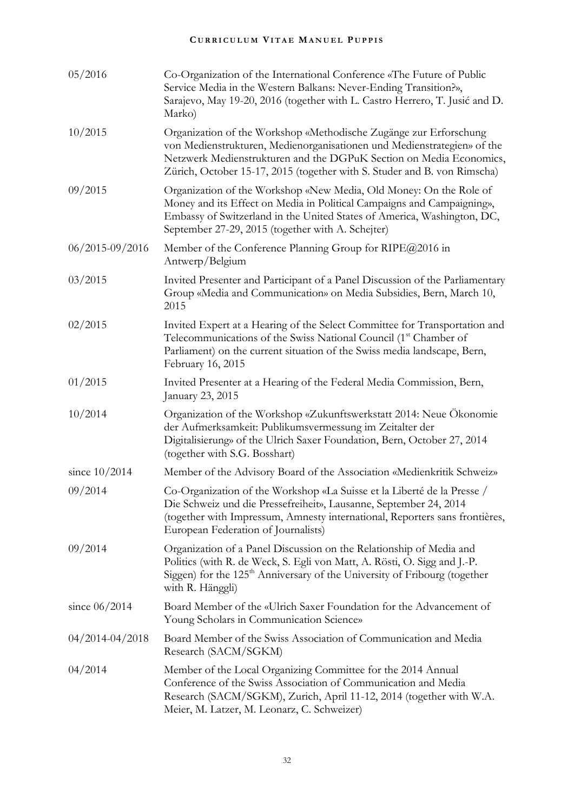| 05/2016             | Co-Organization of the International Conference «The Future of Public<br>Service Media in the Western Balkans: Never-Ending Transition?»,<br>Sarajevo, May 19-20, 2016 (together with L. Castro Herrero, T. Jusić and D.<br>Marko)                                                              |
|---------------------|-------------------------------------------------------------------------------------------------------------------------------------------------------------------------------------------------------------------------------------------------------------------------------------------------|
| 10/2015             | Organization of the Workshop «Methodische Zugänge zur Erforschung<br>von Medienstrukturen, Medienorganisationen und Medienstrategien» of the<br>Netzwerk Medienstrukturen and the DGPuK Section on Media Economics,<br>Zürich, October 15-17, 2015 (together with S. Studer and B. von Rimscha) |
| 09/2015             | Organization of the Workshop «New Media, Old Money: On the Role of<br>Money and its Effect on Media in Political Campaigns and Campaigning»,<br>Embassy of Switzerland in the United States of America, Washington, DC,<br>September 27-29, 2015 (together with A. Schejter)                    |
| $06/2015 - 09/2016$ | Member of the Conference Planning Group for RIPE@2016 in<br>Antwerp/Belgium                                                                                                                                                                                                                     |
| 03/2015             | Invited Presenter and Participant of a Panel Discussion of the Parliamentary<br>Group «Media and Communication» on Media Subsidies, Bern, March 10,<br>2015                                                                                                                                     |
| 02/2015             | Invited Expert at a Hearing of the Select Committee for Transportation and<br>Telecommunications of the Swiss National Council (1 <sup>st</sup> Chamber of<br>Parliament) on the current situation of the Swiss media landscape, Bern,<br>February 16, 2015                                     |
| 01/2015             | Invited Presenter at a Hearing of the Federal Media Commission, Bern,<br>January 23, 2015                                                                                                                                                                                                       |
| 10/2014             | Organization of the Workshop «Zukunftswerkstatt 2014: Neue Ökonomie<br>der Aufmerksamkeit: Publikumsvermessung im Zeitalter der<br>Digitalisierung» of the Ulrich Saxer Foundation, Bern, October 27, 2014<br>(together with S.G. Bosshart)                                                     |
| since $10/2014$     | Member of the Advisory Board of the Association «Medienkritik Schweiz»                                                                                                                                                                                                                          |
| 09/2014             | Co-Organization of the Workshop «La Suisse et la Liberté de la Presse /<br>Die Schweiz und die Pressefreiheit», Lausanne, September 24, 2014<br>(together with Impressum, Amnesty international, Reporters sans frontières,<br>European Federation of Journalists)                              |
| 09/2014             | Organization of a Panel Discussion on the Relationship of Media and<br>Politics (with R. de Weck, S. Egli von Matt, A. Rösti, O. Sigg and J.-P.<br>Siggen) for the 125 <sup>th</sup> Anniversary of the University of Fribourg (together<br>with R. Hänggli)                                    |
| since $06/2014$     | Board Member of the «Ulrich Saxer Foundation for the Advancement of<br>Young Scholars in Communication Science»                                                                                                                                                                                 |
| $04/2014 - 04/2018$ | Board Member of the Swiss Association of Communication and Media<br>Research (SACM/SGKM)                                                                                                                                                                                                        |
| 04/2014             | Member of the Local Organizing Committee for the 2014 Annual<br>Conference of the Swiss Association of Communication and Media<br>Research (SACM/SGKM), Zurich, April 11-12, 2014 (together with W.A.<br>Meier, M. Latzer, M. Leonarz, C. Schweizer)                                            |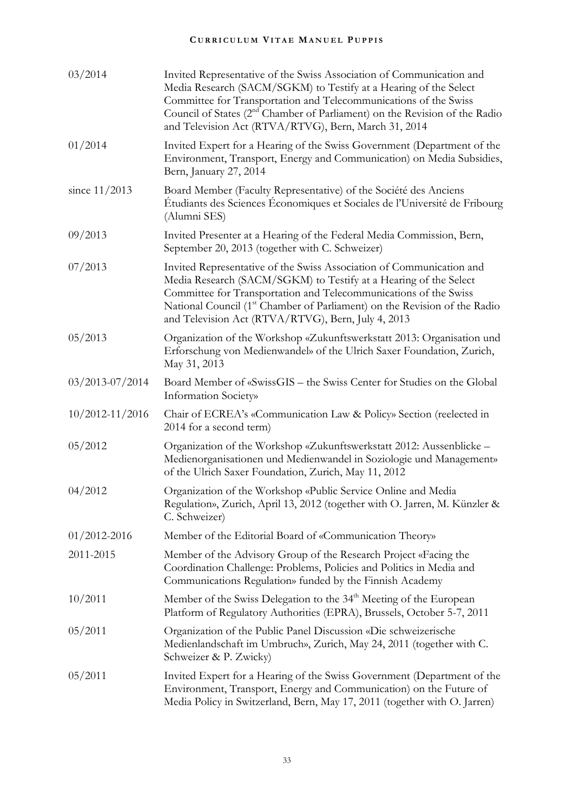| 03/2014             | Invited Representative of the Swiss Association of Communication and<br>Media Research (SACM/SGKM) to Testify at a Hearing of the Select<br>Committee for Transportation and Telecommunications of the Swiss<br>Council of States (2 <sup>nd</sup> Chamber of Parliament) on the Revision of the Radio<br>and Television Act (RTVA/RTVG), Bern, March 31, 2014 |
|---------------------|----------------------------------------------------------------------------------------------------------------------------------------------------------------------------------------------------------------------------------------------------------------------------------------------------------------------------------------------------------------|
| 01/2014             | Invited Expert for a Hearing of the Swiss Government (Department of the<br>Environment, Transport, Energy and Communication) on Media Subsidies,<br>Bern, January 27, 2014                                                                                                                                                                                     |
| since $11/2013$     | Board Member (Faculty Representative) of the Société des Anciens<br>Étudiants des Sciences Économiques et Sociales de l'Université de Fribourg<br>(Alumni SES)                                                                                                                                                                                                 |
| 09/2013             | Invited Presenter at a Hearing of the Federal Media Commission, Bern,<br>September 20, 2013 (together with C. Schweizer)                                                                                                                                                                                                                                       |
| 07/2013             | Invited Representative of the Swiss Association of Communication and<br>Media Research (SACM/SGKM) to Testify at a Hearing of the Select<br>Committee for Transportation and Telecommunications of the Swiss<br>National Council (1 <sup>st</sup> Chamber of Parliament) on the Revision of the Radio<br>and Television Act (RTVA/RTVG), Bern, July 4, 2013    |
| 05/2013             | Organization of the Workshop «Zukunftswerkstatt 2013: Organisation und<br>Erforschung von Medienwandel» of the Ulrich Saxer Foundation, Zurich,<br>May 31, 2013                                                                                                                                                                                                |
| $03/2013 - 07/2014$ | Board Member of «SwissGIS – the Swiss Center for Studies on the Global<br>Information Society»                                                                                                                                                                                                                                                                 |
| $10/2012 - 11/2016$ | Chair of ECREA's «Communication Law & Policy» Section (reelected in<br>2014 for a second term)                                                                                                                                                                                                                                                                 |
| 05/2012             | Organization of the Workshop «Zukunftswerkstatt 2012: Aussenblicke -<br>Medienorganisationen und Medienwandel in Soziologie und Management»<br>of the Ulrich Saxer Foundation, Zurich, May 11, 2012                                                                                                                                                            |
| 04/2012             | Organization of the Workshop «Public Service Online and Media<br>Regulation», Zurich, April 13, 2012 (together with O. Jarren, M. Künzler &<br>C. Schweizer)                                                                                                                                                                                                   |
| $01/2012 - 2016$    | Member of the Editorial Board of «Communication Theory»                                                                                                                                                                                                                                                                                                        |
| 2011-2015           | Member of the Advisory Group of the Research Project «Facing the<br>Coordination Challenge: Problems, Policies and Politics in Media and<br>Communications Regulation» funded by the Finnish Academy                                                                                                                                                           |
| 10/2011             | Member of the Swiss Delegation to the 34 <sup>th</sup> Meeting of the European<br>Platform of Regulatory Authorities (EPRA), Brussels, October 5-7, 2011                                                                                                                                                                                                       |
| 05/2011             | Organization of the Public Panel Discussion «Die schweizerische<br>Medienlandschaft im Umbruch», Zurich, May 24, 2011 (together with C.<br>Schweizer & P. Zwicky)                                                                                                                                                                                              |
| 05/2011             | Invited Expert for a Hearing of the Swiss Government (Department of the<br>Environment, Transport, Energy and Communication) on the Future of<br>Media Policy in Switzerland, Bern, May 17, 2011 (together with O. Jarren)                                                                                                                                     |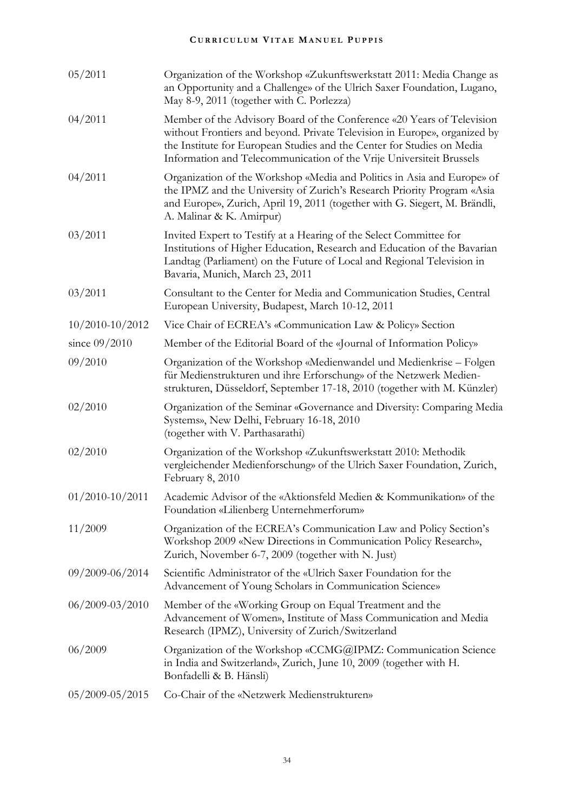| 05/2011             | Organization of the Workshop «Zukunftswerkstatt 2011: Media Change as<br>an Opportunity and a Challenge» of the Ulrich Saxer Foundation, Lugano,<br>May 8-9, 2011 (together with C. Porlezza)                                                                                                         |
|---------------------|-------------------------------------------------------------------------------------------------------------------------------------------------------------------------------------------------------------------------------------------------------------------------------------------------------|
| 04/2011             | Member of the Advisory Board of the Conference «20 Years of Television<br>without Frontiers and beyond. Private Television in Europe», organized by<br>the Institute for European Studies and the Center for Studies on Media<br>Information and Telecommunication of the Vrije Universiteit Brussels |
| 04/2011             | Organization of the Workshop «Media and Politics in Asia and Europe» of<br>the IPMZ and the University of Zurich's Research Priority Program «Asia<br>and Europe», Zurich, April 19, 2011 (together with G. Siegert, M. Brändli,<br>A. Malinar & K. Amirpur)                                          |
| 03/2011             | Invited Expert to Testify at a Hearing of the Select Committee for<br>Institutions of Higher Education, Research and Education of the Bavarian<br>Landtag (Parliament) on the Future of Local and Regional Television in<br>Bavaria, Munich, March 23, 2011                                           |
| 03/2011             | Consultant to the Center for Media and Communication Studies, Central<br>European University, Budapest, March 10-12, 2011                                                                                                                                                                             |
| $10/2010 - 10/2012$ | Vice Chair of ECREA's «Communication Law & Policy» Section                                                                                                                                                                                                                                            |
| since 09/2010       | Member of the Editorial Board of the «Journal of Information Policy»                                                                                                                                                                                                                                  |
| 09/2010             | Organization of the Workshop «Medienwandel und Medienkrise – Folgen<br>für Medienstrukturen und ihre Erforschung» of the Netzwerk Medien-<br>strukturen, Düsseldorf, September 17-18, 2010 (together with M. Künzler)                                                                                 |
| 02/2010             | Organization of the Seminar «Governance and Diversity: Comparing Media<br>Systems», New Delhi, February 16-18, 2010<br>(together with V. Parthasarathi)                                                                                                                                               |
| 02/2010             | Organization of the Workshop «Zukunftswerkstatt 2010: Methodik<br>vergleichender Medienforschung» of the Ulrich Saxer Foundation, Zurich,<br>February 8, 2010                                                                                                                                         |
| $01/2010 - 10/2011$ | Academic Advisor of the «Aktionsfeld Medien & Kommunikation» of the<br>Foundation «Lilienberg Unternehmerforum»                                                                                                                                                                                       |
| 11/2009             | Organization of the ECREA's Communication Law and Policy Section's<br>Workshop 2009 «New Directions in Communication Policy Research»,<br>Zurich, November 6-7, 2009 (together with N. Just)                                                                                                          |
| $09/2009 - 06/2014$ | Scientific Administrator of the «Ulrich Saxer Foundation for the<br>Advancement of Young Scholars in Communication Science»                                                                                                                                                                           |
| 06/2009-03/2010     | Member of the «Working Group on Equal Treatment and the<br>Advancement of Women», Institute of Mass Communication and Media<br>Research (IPMZ), University of Zurich/Switzerland                                                                                                                      |
| 06/2009             | Organization of the Workshop «CCMG@IPMZ: Communication Science<br>in India and Switzerland», Zurich, June 10, 2009 (together with H.<br>Bonfadelli & B. Hänsli)                                                                                                                                       |
| $05/2009 - 05/2015$ | Co-Chair of the «Netzwerk Medienstrukturen»                                                                                                                                                                                                                                                           |